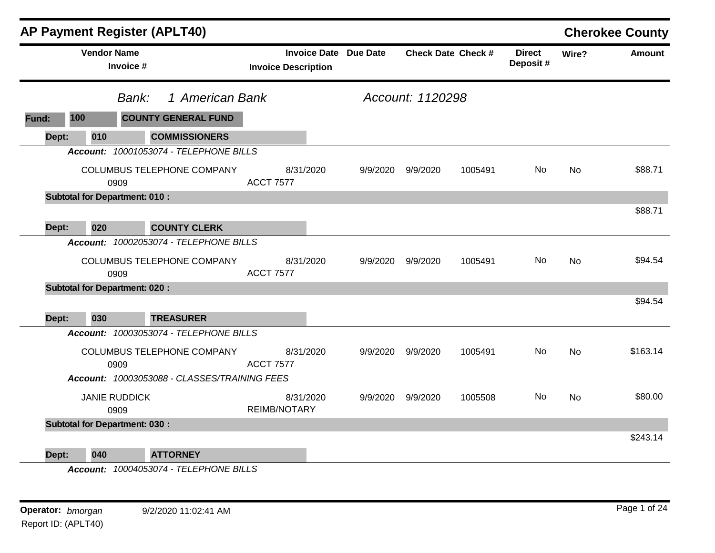|       | AP Payment Register (APLT40)<br><b>Vendor Name</b> |                              |                                                                            |                                  |                              |                  |                           |                           |           | <b>Cherokee County</b> |
|-------|----------------------------------------------------|------------------------------|----------------------------------------------------------------------------|----------------------------------|------------------------------|------------------|---------------------------|---------------------------|-----------|------------------------|
|       |                                                    | Invoice #                    |                                                                            | <b>Invoice Description</b>       | <b>Invoice Date Due Date</b> |                  | <b>Check Date Check #</b> | <b>Direct</b><br>Deposit# | Wire?     | <b>Amount</b>          |
|       |                                                    | 1 American Bank<br>Bank:     |                                                                            |                                  |                              | Account: 1120298 |                           |                           |           |                        |
| Fund: | 100                                                |                              | <b>COUNTY GENERAL FUND</b>                                                 |                                  |                              |                  |                           |                           |           |                        |
| Dept: | 010                                                |                              | <b>COMMISSIONERS</b>                                                       |                                  |                              |                  |                           |                           |           |                        |
|       |                                                    |                              | Account: 10001053074 - TELEPHONE BILLS                                     |                                  |                              |                  |                           |                           |           |                        |
|       |                                                    | 0909                         | COLUMBUS TELEPHONE COMPANY                                                 | 8/31/2020<br><b>ACCT 7577</b>    | 9/9/2020                     | 9/9/2020         | 1005491                   | No.                       | No        | \$88.71                |
|       | <b>Subtotal for Department: 010:</b>               |                              |                                                                            |                                  |                              |                  |                           |                           |           |                        |
|       |                                                    |                              |                                                                            |                                  |                              |                  |                           |                           |           | \$88.71                |
| Dept: | 020                                                |                              | <b>COUNTY CLERK</b>                                                        |                                  |                              |                  |                           |                           |           |                        |
|       |                                                    |                              | Account: 10002053074 - TELEPHONE BILLS                                     |                                  |                              |                  |                           |                           |           |                        |
|       |                                                    | 0909                         | COLUMBUS TELEPHONE COMPANY                                                 | 8/31/2020<br><b>ACCT 7577</b>    | 9/9/2020                     | 9/9/2020         | 1005491                   | No                        | No        | \$94.54                |
|       | <b>Subtotal for Department: 020:</b>               |                              |                                                                            |                                  |                              |                  |                           |                           |           |                        |
| Dept: | 030                                                |                              | <b>TREASURER</b>                                                           |                                  |                              |                  |                           |                           |           | \$94.54                |
|       |                                                    |                              | Account: 10003053074 - TELEPHONE BILLS                                     |                                  |                              |                  |                           |                           |           |                        |
|       |                                                    | 0909                         | COLUMBUS TELEPHONE COMPANY<br>Account: 10003053088 - CLASSES/TRAINING FEES | 8/31/2020<br><b>ACCT 7577</b>    | 9/9/2020                     | 9/9/2020         | 1005491                   | No                        | No        | \$163.14               |
|       |                                                    |                              |                                                                            |                                  |                              |                  |                           |                           |           |                        |
|       |                                                    | <b>JANIE RUDDICK</b><br>0909 |                                                                            | 8/31/2020<br><b>REIMB/NOTARY</b> | 9/9/2020                     | 9/9/2020         | 1005508                   | No                        | <b>No</b> | \$80.00                |
|       | <b>Subtotal for Department: 030:</b>               |                              |                                                                            |                                  |                              |                  |                           |                           |           |                        |
| Dept: | 040                                                |                              | <b>ATTORNEY</b>                                                            |                                  |                              |                  |                           |                           |           | \$243.14               |

*Account: 10004053074 - TELEPHONE BILLS*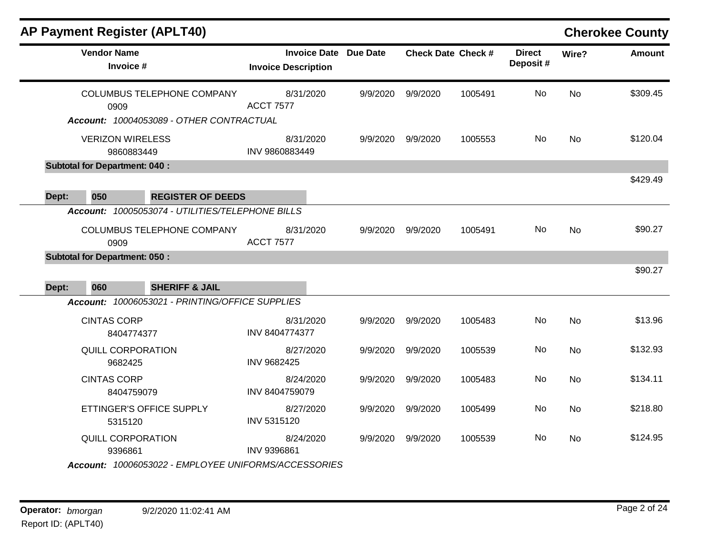|       | <b>AP Payment Register (APLT40)</b>                                                    |                                                   |          |          |                           |                           |           | <b>Cherokee County</b> |
|-------|----------------------------------------------------------------------------------------|---------------------------------------------------|----------|----------|---------------------------|---------------------------|-----------|------------------------|
|       | <b>Vendor Name</b><br>Invoice #                                                        | <b>Invoice Date</b><br><b>Invoice Description</b> | Due Date |          | <b>Check Date Check #</b> | <b>Direct</b><br>Deposit# | Wire?     | <b>Amount</b>          |
|       | COLUMBUS TELEPHONE COMPANY<br>0909                                                     | 8/31/2020<br><b>ACCT 7577</b>                     | 9/9/2020 | 9/9/2020 | 1005491                   | No                        | <b>No</b> | \$309.45               |
|       | Account: 10004053089 - OTHER CONTRACTUAL                                               |                                                   |          |          |                           |                           |           |                        |
|       | <b>VERIZON WIRELESS</b><br>9860883449                                                  | 8/31/2020<br>INV 9860883449                       | 9/9/2020 | 9/9/2020 | 1005553                   | No.                       | <b>No</b> | \$120.04               |
|       | <b>Subtotal for Department: 040:</b>                                                   |                                                   |          |          |                           |                           |           |                        |
| Dept: | 050<br><b>REGISTER OF DEEDS</b>                                                        |                                                   |          |          |                           |                           |           | \$429.49               |
|       | Account: 10005053074 - UTILITIES/TELEPHONE BILLS<br>COLUMBUS TELEPHONE COMPANY<br>0909 | 8/31/2020<br><b>ACCT 7577</b>                     | 9/9/2020 | 9/9/2020 | 1005491                   | No                        | <b>No</b> | \$90.27                |
| Dept: | <b>Subtotal for Department: 050:</b><br>060<br><b>SHERIFF &amp; JAIL</b>               |                                                   |          |          |                           |                           |           | \$90.27                |
|       | Account: 10006053021 - PRINTING/OFFICE SUPPLIES                                        |                                                   |          |          |                           |                           |           |                        |
|       | <b>CINTAS CORP</b><br>8404774377                                                       | 8/31/2020<br>INV 8404774377                       | 9/9/2020 | 9/9/2020 | 1005483                   | No                        | <b>No</b> | \$13.96                |
|       | <b>QUILL CORPORATION</b><br>9682425                                                    | 8/27/2020<br>INV 9682425                          | 9/9/2020 | 9/9/2020 | 1005539                   | No                        | <b>No</b> | \$132.93               |
|       | <b>CINTAS CORP</b><br>8404759079                                                       | 8/24/2020<br>INV 8404759079                       | 9/9/2020 | 9/9/2020 | 1005483                   | No                        | <b>No</b> | \$134.11               |
|       | ETTINGER'S OFFICE SUPPLY<br>5315120                                                    | 8/27/2020<br>INV 5315120                          | 9/9/2020 | 9/9/2020 | 1005499                   | No                        | <b>No</b> | \$218.80               |
|       | QUILL CORPORATION<br>9396861                                                           | 8/24/2020<br>INV 9396861                          | 9/9/2020 | 9/9/2020 | 1005539                   | No.                       | <b>No</b> | \$124.95               |
|       | Account: 10006053022 - EMPLOYEE UNIFORMS/ACCESSORIES                                   |                                                   |          |          |                           |                           |           |                        |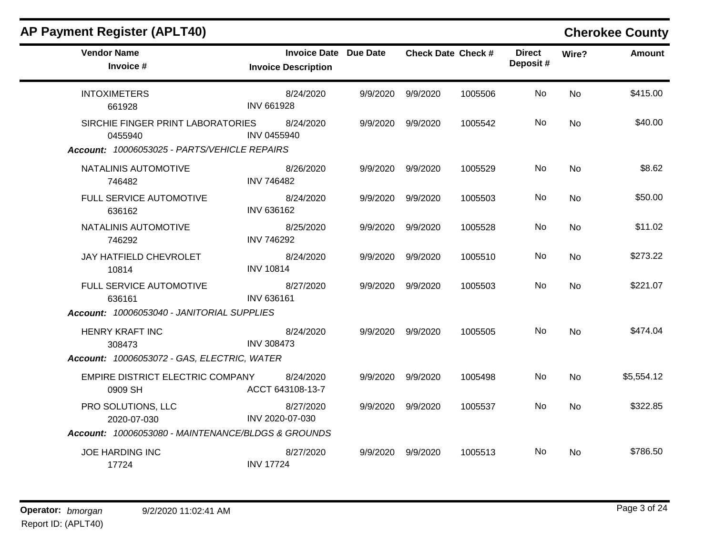| <b>AP Payment Register (APLT40)</b>                                                          |                                                            |          |                   |                           |                           |           | <b>Cherokee County</b> |
|----------------------------------------------------------------------------------------------|------------------------------------------------------------|----------|-------------------|---------------------------|---------------------------|-----------|------------------------|
| <b>Vendor Name</b><br>Invoice #                                                              | <b>Invoice Date Due Date</b><br><b>Invoice Description</b> |          |                   | <b>Check Date Check #</b> | <b>Direct</b><br>Deposit# | Wire?     | <b>Amount</b>          |
| <b>INTOXIMETERS</b><br>661928                                                                | 8/24/2020<br><b>INV 661928</b>                             | 9/9/2020 | 9/9/2020          | 1005506                   | No                        | No        | \$415.00               |
| SIRCHIE FINGER PRINT LABORATORIES<br>0455940<br>Account: 10006053025 - PARTS/VEHICLE REPAIRS | 8/24/2020<br>INV 0455940                                   | 9/9/2020 | 9/9/2020          | 1005542                   | No                        | No        | \$40.00                |
| NATALINIS AUTOMOTIVE<br>746482                                                               | 8/26/2020<br><b>INV 746482</b>                             |          | 9/9/2020 9/9/2020 | 1005529                   | No                        | No        | \$8.62                 |
| FULL SERVICE AUTOMOTIVE<br>636162                                                            | 8/24/2020<br>INV 636162                                    | 9/9/2020 | 9/9/2020          | 1005503                   | No                        | No        | \$50.00                |
| NATALINIS AUTOMOTIVE<br>746292                                                               | 8/25/2020<br><b>INV 746292</b>                             | 9/9/2020 | 9/9/2020          | 1005528                   | No.                       | No        | \$11.02                |
| JAY HATFIELD CHEVROLET<br>10814                                                              | 8/24/2020<br><b>INV 10814</b>                              | 9/9/2020 | 9/9/2020          | 1005510                   | No                        | <b>No</b> | \$273.22               |
| FULL SERVICE AUTOMOTIVE<br>636161                                                            | 8/27/2020<br>INV 636161                                    |          | 9/9/2020 9/9/2020 | 1005503                   | No                        | No        | \$221.07               |
| Account: 10006053040 - JANITORIAL SUPPLIES                                                   |                                                            |          |                   |                           |                           |           |                        |
| <b>HENRY KRAFT INC</b><br>308473                                                             | 8/24/2020<br><b>INV 308473</b>                             |          | 9/9/2020 9/9/2020 | 1005505                   | No.                       | No        | \$474.04               |
| Account: 10006053072 - GAS, ELECTRIC, WATER                                                  |                                                            |          |                   |                           |                           |           |                        |
| EMPIRE DISTRICT ELECTRIC COMPANY<br>0909 SH                                                  | 8/24/2020<br>ACCT 643108-13-7                              | 9/9/2020 | 9/9/2020          | 1005498                   | No.                       | <b>No</b> | \$5,554.12             |
| PRO SOLUTIONS, LLC<br>2020-07-030                                                            | 8/27/2020<br>INV 2020-07-030                               | 9/9/2020 | 9/9/2020          | 1005537                   | No.                       | No        | \$322.85               |
| Account: 10006053080 - MAINTENANCE/BLDGS & GROUNDS                                           |                                                            |          |                   |                           |                           |           |                        |
| <b>JOE HARDING INC</b><br>17724                                                              | 8/27/2020<br><b>INV 17724</b>                              | 9/9/2020 | 9/9/2020          | 1005513                   | No.                       | No        | \$786.50               |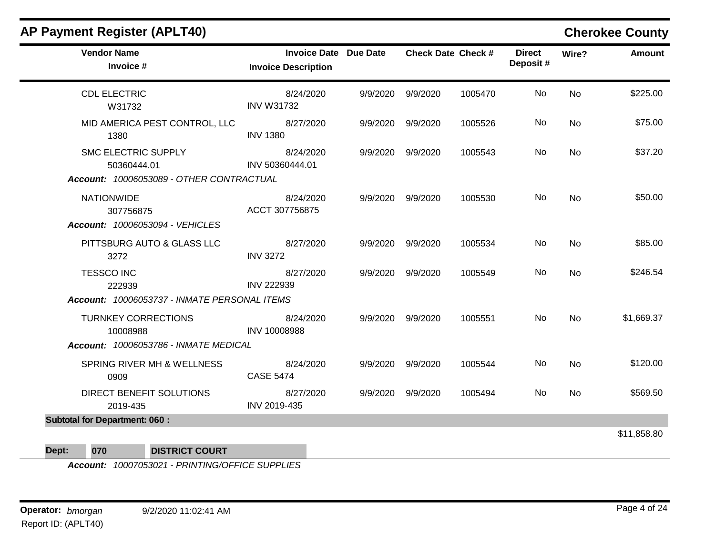| <b>Vendor Name</b><br>Invoice #                                                       | <b>Invoice Date Due Date</b><br><b>Invoice Description</b> |          |                   | <b>Check Date Check #</b> | <b>Direct</b><br>Deposit# | Wire?     | <b>Amount</b> |
|---------------------------------------------------------------------------------------|------------------------------------------------------------|----------|-------------------|---------------------------|---------------------------|-----------|---------------|
| <b>CDL ELECTRIC</b><br>W31732                                                         | 8/24/2020<br><b>INV W31732</b>                             |          | 9/9/2020 9/9/2020 | 1005470                   | No                        | <b>No</b> | \$225.00      |
| MID AMERICA PEST CONTROL, LLC<br>1380                                                 | 8/27/2020<br><b>INV 1380</b>                               | 9/9/2020 | 9/9/2020          | 1005526                   | No                        | <b>No</b> | \$75.00       |
| <b>SMC ELECTRIC SUPPLY</b><br>50360444.01<br>Account: 10006053089 - OTHER CONTRACTUAL | 8/24/2020<br>INV 50360444.01                               | 9/9/2020 | 9/9/2020          | 1005543                   | No                        | <b>No</b> | \$37.20       |
| <b>NATIONWIDE</b><br>307756875<br>Account: 10006053094 - VEHICLES                     | 8/24/2020<br>ACCT 307756875                                |          | 9/9/2020 9/9/2020 | 1005530                   | No                        | <b>No</b> | \$50.00       |
| PITTSBURG AUTO & GLASS LLC<br>3272                                                    | 8/27/2020<br><b>INV 3272</b>                               |          | 9/9/2020 9/9/2020 | 1005534                   | No.                       | <b>No</b> | \$85.00       |
| <b>TESSCO INC</b><br>222939                                                           | 8/27/2020<br><b>INV 222939</b>                             |          | 9/9/2020 9/9/2020 | 1005549                   | No                        | <b>No</b> | \$246.54      |
| Account: 10006053737 - INMATE PERSONAL ITEMS                                          |                                                            |          |                   |                           |                           |           |               |
| <b>TURNKEY CORRECTIONS</b><br>10008988                                                | 8/24/2020<br>INV 10008988                                  |          | 9/9/2020 9/9/2020 | 1005551                   | No                        | <b>No</b> | \$1,669.37    |
| <b>Account: 10006053786 - INMATE MEDICAL</b>                                          |                                                            |          |                   |                           |                           |           |               |
| SPRING RIVER MH & WELLNESS<br>0909                                                    | 8/24/2020<br><b>CASE 5474</b>                              | 9/9/2020 | 9/9/2020          | 1005544                   | No                        | <b>No</b> | \$120.00      |
| DIRECT BENEFIT SOLUTIONS<br>2019-435                                                  | 8/27/2020<br>INV 2019-435                                  |          | 9/9/2020 9/9/2020 | 1005494                   | No                        | <b>No</b> | \$569.50      |
| <b>Subtotal for Department: 060:</b>                                                  |                                                            |          |                   |                           |                           |           |               |
|                                                                                       |                                                            |          |                   |                           |                           |           | \$11,858.80   |

**Dept: 070 DISTRICT COURT**

*Account: 10007053021 - PRINTING/OFFICE SUPPLIES*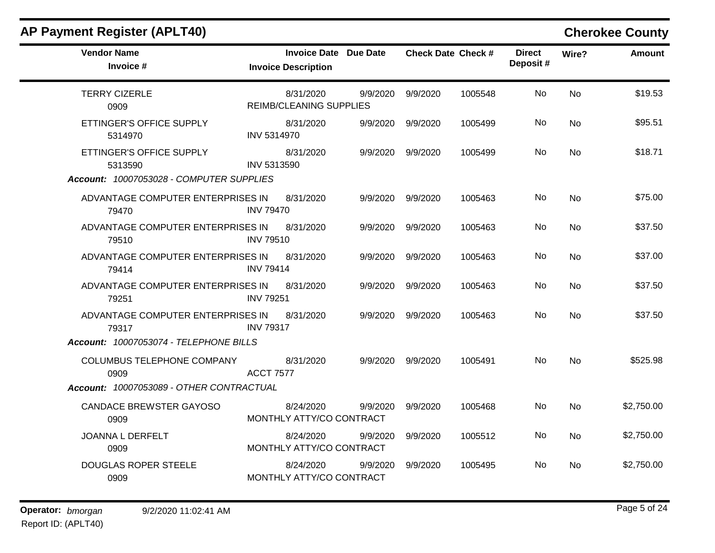| <b>Vendor Name</b><br>Invoice #            | <b>Invoice Date Due Date</b><br><b>Invoice Description</b> |          | <b>Check Date Check #</b> |         | <b>Direct</b><br>Deposit# | Wire?     | <b>Amount</b> |
|--------------------------------------------|------------------------------------------------------------|----------|---------------------------|---------|---------------------------|-----------|---------------|
| <b>TERRY CIZERLE</b><br>0909               | 8/31/2020<br>REIMB/CLEANING SUPPLIES                       | 9/9/2020 | 9/9/2020                  | 1005548 | <b>No</b>                 | <b>No</b> | \$19.53       |
| ETTINGER'S OFFICE SUPPLY<br>5314970        | 8/31/2020<br><b>INV 5314970</b>                            | 9/9/2020 | 9/9/2020                  | 1005499 | No.                       | <b>No</b> | \$95.51       |
| ETTINGER'S OFFICE SUPPLY<br>5313590        | 8/31/2020<br>INV 5313590                                   | 9/9/2020 | 9/9/2020                  | 1005499 | No.                       | <b>No</b> | \$18.71       |
| Account: 10007053028 - COMPUTER SUPPLIES   |                                                            |          |                           |         |                           |           |               |
| ADVANTAGE COMPUTER ENTERPRISES IN<br>79470 | 8/31/2020<br><b>INV 79470</b>                              | 9/9/2020 | 9/9/2020                  | 1005463 | No.                       | No        | \$75.00       |
| ADVANTAGE COMPUTER ENTERPRISES IN<br>79510 | 8/31/2020<br><b>INV 79510</b>                              | 9/9/2020 | 9/9/2020                  | 1005463 | No                        | <b>No</b> | \$37.50       |
| ADVANTAGE COMPUTER ENTERPRISES IN<br>79414 | 8/31/2020<br><b>INV 79414</b>                              | 9/9/2020 | 9/9/2020                  | 1005463 | No.                       | No        | \$37.00       |
| ADVANTAGE COMPUTER ENTERPRISES IN<br>79251 | 8/31/2020<br><b>INV 79251</b>                              | 9/9/2020 | 9/9/2020                  | 1005463 | No                        | <b>No</b> | \$37.50       |
| ADVANTAGE COMPUTER ENTERPRISES IN<br>79317 | 8/31/2020<br><b>INV 79317</b>                              | 9/9/2020 | 9/9/2020                  | 1005463 | No.                       | <b>No</b> | \$37.50       |
| Account: 10007053074 - TELEPHONE BILLS     |                                                            |          |                           |         |                           |           |               |
| COLUMBUS TELEPHONE COMPANY<br>0909         | 8/31/2020<br><b>ACCT 7577</b>                              | 9/9/2020 | 9/9/2020                  | 1005491 | No.                       | <b>No</b> | \$525.98      |
| Account: 10007053089 - OTHER CONTRACTUAL   |                                                            |          |                           |         |                           |           |               |
| <b>CANDACE BREWSTER GAYOSO</b><br>0909     | 8/24/2020<br>MONTHLY ATTY/CO CONTRACT                      | 9/9/2020 | 9/9/2020                  | 1005468 | <b>No</b>                 | <b>No</b> | \$2,750.00    |
| JOANNA L DERFELT<br>0909                   | 8/24/2020<br>MONTHLY ATTY/CO CONTRACT                      | 9/9/2020 | 9/9/2020                  | 1005512 | No.                       | <b>No</b> | \$2,750.00    |
| <b>DOUGLAS ROPER STEELE</b><br>0909        | 8/24/2020<br>MONTHLY ATTY/CO CONTRACT                      | 9/9/2020 | 9/9/2020                  | 1005495 | No.                       | <b>No</b> | \$2,750.00    |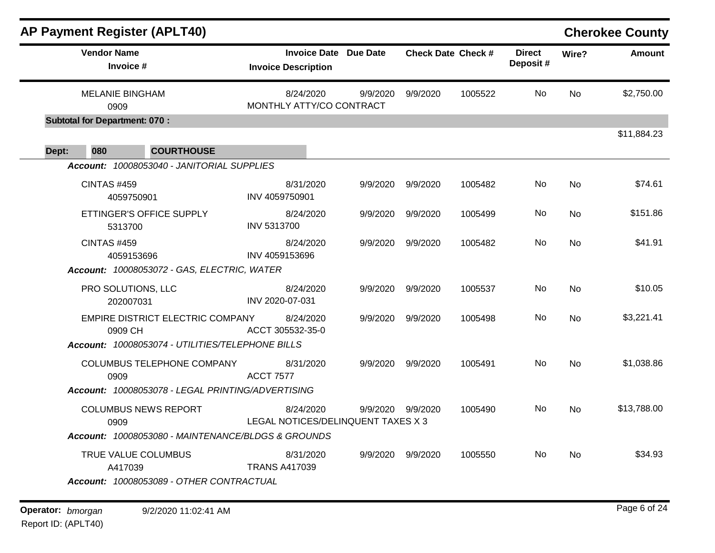|                               |                                                                                                                                                                                                                                                                                                                                                              |                                                          |                                                                                                                        |                                      |           | <b>Cherokee County</b> |
|-------------------------------|--------------------------------------------------------------------------------------------------------------------------------------------------------------------------------------------------------------------------------------------------------------------------------------------------------------------------------------------------------------|----------------------------------------------------------|------------------------------------------------------------------------------------------------------------------------|--------------------------------------|-----------|------------------------|
| <b>Invoice Description</b>    |                                                                                                                                                                                                                                                                                                                                                              |                                                          |                                                                                                                        | <b>Direct</b><br>Deposit#            | Wire?     | <b>Amount</b>          |
| 8/24/2020                     | 9/9/2020                                                                                                                                                                                                                                                                                                                                                     | 9/9/2020                                                 | 1005522                                                                                                                | No.                                  | No        | \$2,750.00             |
|                               |                                                                                                                                                                                                                                                                                                                                                              |                                                          |                                                                                                                        |                                      |           |                        |
|                               |                                                                                                                                                                                                                                                                                                                                                              |                                                          |                                                                                                                        |                                      |           | \$11,884.23            |
|                               |                                                                                                                                                                                                                                                                                                                                                              |                                                          |                                                                                                                        |                                      |           |                        |
| 8/31/2020<br>INV 4059750901   |                                                                                                                                                                                                                                                                                                                                                              |                                                          | 1005482                                                                                                                | No.                                  | <b>No</b> | \$74.61                |
| 8/24/2020<br>INV 5313700      | 9/9/2020                                                                                                                                                                                                                                                                                                                                                     | 9/9/2020                                                 | 1005499                                                                                                                | No                                   | <b>No</b> | \$151.86               |
| 8/24/2020<br>INV 4059153696   | 9/9/2020                                                                                                                                                                                                                                                                                                                                                     | 9/9/2020                                                 | 1005482                                                                                                                | No                                   | <b>No</b> | \$41.91                |
|                               |                                                                                                                                                                                                                                                                                                                                                              |                                                          |                                                                                                                        |                                      |           |                        |
| 8/24/2020<br>INV 2020-07-031  | 9/9/2020                                                                                                                                                                                                                                                                                                                                                     | 9/9/2020                                                 | 1005537                                                                                                                | No                                   | <b>No</b> | \$10.05                |
| 8/24/2020<br>ACCT 305532-35-0 | 9/9/2020                                                                                                                                                                                                                                                                                                                                                     | 9/9/2020                                                 | 1005498                                                                                                                | No                                   | No        | \$3,221.41             |
|                               |                                                                                                                                                                                                                                                                                                                                                              |                                                          |                                                                                                                        |                                      |           |                        |
| 8/31/2020<br><b>ACCT 7577</b> |                                                                                                                                                                                                                                                                                                                                                              |                                                          | 1005491                                                                                                                | No                                   | <b>No</b> | \$1,038.86             |
|                               |                                                                                                                                                                                                                                                                                                                                                              |                                                          |                                                                                                                        |                                      |           |                        |
| 8/24/2020                     |                                                                                                                                                                                                                                                                                                                                                              |                                                          | 1005490                                                                                                                | No.                                  | No        | \$13,788.00            |
|                               |                                                                                                                                                                                                                                                                                                                                                              |                                                          |                                                                                                                        |                                      |           |                        |
| <b>TRANS A417039</b>          |                                                                                                                                                                                                                                                                                                                                                              |                                                          |                                                                                                                        |                                      |           | \$34.93                |
|                               | Account: 10008053040 - JANITORIAL SUPPLIES<br>Account: 10008053072 - GAS, ELECTRIC, WATER<br><b>EMPIRE DISTRICT ELECTRIC COMPANY</b><br>Account: 10008053074 - UTILITIES/TELEPHONE BILLS<br>Account: 10008053078 - LEGAL PRINTING/ADVERTISING<br>Account: 10008053080 - MAINTENANCE/BLDGS & GROUNDS<br>8/31/2020<br>Account: 10008053089 - OTHER CONTRACTUAL | <b>Invoice Date Due Date</b><br>MONTHLY ATTY/CO CONTRACT | 9/9/2020 9/9/2020<br>9/9/2020 9/9/2020<br>9/9/2020 9/9/2020<br>LEGAL NOTICES/DELINQUENT TAXES X 3<br>9/9/2020 9/9/2020 | <b>Check Date Check #</b><br>1005550 | No.       | <b>No</b>              |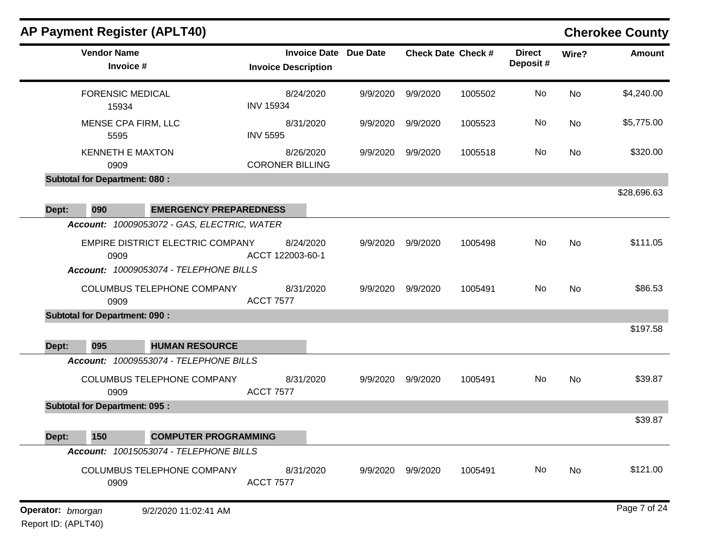|       | AP Payment Register (APLT40)                    |                                                            |          |          |                           |                           |           | <b>Cherokee County</b> |
|-------|-------------------------------------------------|------------------------------------------------------------|----------|----------|---------------------------|---------------------------|-----------|------------------------|
|       | <b>Vendor Name</b><br>Invoice #                 | <b>Invoice Date Due Date</b><br><b>Invoice Description</b> |          |          | <b>Check Date Check #</b> | <b>Direct</b><br>Deposit# | Wire?     | <b>Amount</b>          |
|       | <b>FORENSIC MEDICAL</b><br>15934                | 8/24/2020<br><b>INV 15934</b>                              | 9/9/2020 | 9/9/2020 | 1005502                   | No                        | <b>No</b> | \$4,240.00             |
|       | <b>MENSE CPA FIRM, LLC</b><br>5595              | 8/31/2020<br><b>INV 5595</b>                               | 9/9/2020 | 9/9/2020 | 1005523                   | No                        | No        | \$5,775.00             |
|       | <b>KENNETH E MAXTON</b><br>0909                 | 8/26/2020<br><b>CORONER BILLING</b>                        | 9/9/2020 | 9/9/2020 | 1005518                   | No                        | No        | \$320.00               |
|       | <b>Subtotal for Department: 080:</b>            |                                                            |          |          |                           |                           |           |                        |
| Dept: | 090                                             | <b>EMERGENCY PREPAREDNESS</b>                              |          |          |                           |                           |           | \$28,696.63            |
|       | Account: 10009053072 - GAS, ELECTRIC, WATER     |                                                            |          |          |                           |                           |           |                        |
|       | <b>EMPIRE DISTRICT ELECTRIC COMPANY</b><br>0909 | 8/24/2020<br>ACCT 122003-60-1                              | 9/9/2020 | 9/9/2020 | 1005498                   | No                        | <b>No</b> | \$111.05               |
|       | Account: 10009053074 - TELEPHONE BILLS          |                                                            |          |          |                           |                           |           |                        |
|       | COLUMBUS TELEPHONE COMPANY<br>0909              | 8/31/2020<br><b>ACCT 7577</b>                              | 9/9/2020 | 9/9/2020 | 1005491                   | No                        | No        | \$86.53                |
|       | <b>Subtotal for Department: 090:</b>            |                                                            |          |          |                           |                           |           |                        |
|       |                                                 |                                                            |          |          |                           |                           |           | \$197.58               |
| Dept: | 095<br><b>HUMAN RESOURCE</b>                    |                                                            |          |          |                           |                           |           |                        |
|       | Account: 10009553074 - TELEPHONE BILLS          |                                                            |          |          |                           |                           |           |                        |
|       | COLUMBUS TELEPHONE COMPANY<br>0909              | 8/31/2020<br><b>ACCT 7577</b>                              | 9/9/2020 | 9/9/2020 | 1005491                   | No                        | No        | \$39.87                |
|       | <b>Subtotal for Department: 095:</b>            |                                                            |          |          |                           |                           |           |                        |
| Dept: | 150<br><b>COMPUTER PROGRAMMING</b>              |                                                            |          |          |                           |                           |           | \$39.87                |
|       | Account: 10015053074 - TELEPHONE BILLS          |                                                            |          |          |                           |                           |           |                        |
|       | COLUMBUS TELEPHONE COMPANY<br>0909              | 8/31/2020<br><b>ACCT 7577</b>                              | 9/9/2020 | 9/9/2020 | 1005491                   | No                        | No        | \$121.00               |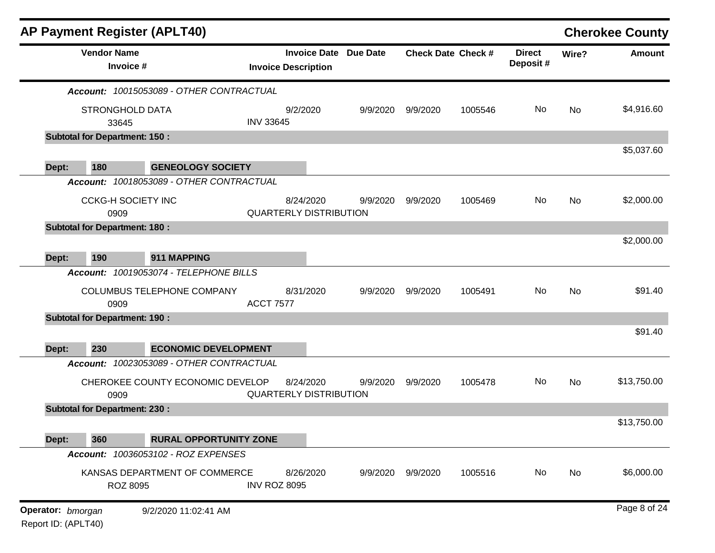|                   |                                      | <b>AP Payment Register (APLT40)</b>      |                     |                                                            |          |                           |         |                           |           | <b>Cherokee County</b> |
|-------------------|--------------------------------------|------------------------------------------|---------------------|------------------------------------------------------------|----------|---------------------------|---------|---------------------------|-----------|------------------------|
|                   | <b>Vendor Name</b><br>Invoice #      |                                          |                     | <b>Invoice Date Due Date</b><br><b>Invoice Description</b> |          | <b>Check Date Check #</b> |         | <b>Direct</b><br>Deposit# | Wire?     | <b>Amount</b>          |
|                   |                                      | Account: 10015053089 - OTHER CONTRACTUAL |                     |                                                            |          |                           |         |                           |           |                        |
|                   | <b>STRONGHOLD DATA</b>               |                                          |                     | 9/2/2020                                                   | 9/9/2020 | 9/9/2020                  | 1005546 | No                        | No        | \$4,916.60             |
|                   | 33645                                |                                          | <b>INV 33645</b>    |                                                            |          |                           |         |                           |           |                        |
|                   | <b>Subtotal for Department: 150:</b> |                                          |                     |                                                            |          |                           |         |                           |           |                        |
|                   |                                      |                                          |                     |                                                            |          |                           |         |                           |           | \$5,037.60             |
| Dept:             | 180                                  | <b>GENEOLOGY SOCIETY</b>                 |                     |                                                            |          |                           |         |                           |           |                        |
|                   |                                      | Account: 10018053089 - OTHER CONTRACTUAL |                     |                                                            |          |                           |         |                           |           |                        |
|                   | <b>CCKG-H SOCIETY INC</b>            |                                          |                     | 8/24/2020                                                  | 9/9/2020 | 9/9/2020                  | 1005469 | No                        | <b>No</b> | \$2,000.00             |
|                   | 0909                                 |                                          |                     | <b>QUARTERLY DISTRIBUTION</b>                              |          |                           |         |                           |           |                        |
|                   | <b>Subtotal for Department: 180:</b> |                                          |                     |                                                            |          |                           |         |                           |           | \$2,000.00             |
| Dept:             | 190                                  | 911 MAPPING                              |                     |                                                            |          |                           |         |                           |           |                        |
|                   |                                      | Account: 10019053074 - TELEPHONE BILLS   |                     |                                                            |          |                           |         |                           |           |                        |
|                   |                                      | COLUMBUS TELEPHONE COMPANY               |                     | 8/31/2020                                                  | 9/9/2020 | 9/9/2020                  | 1005491 | No                        | <b>No</b> | \$91.40                |
|                   | 0909                                 |                                          | <b>ACCT 7577</b>    |                                                            |          |                           |         |                           |           |                        |
|                   | <b>Subtotal for Department: 190:</b> |                                          |                     |                                                            |          |                           |         |                           |           |                        |
|                   |                                      |                                          |                     |                                                            |          |                           |         |                           |           | \$91.40                |
| Dept:             | 230                                  | <b>ECONOMIC DEVELOPMENT</b>              |                     |                                                            |          |                           |         |                           |           |                        |
|                   |                                      | Account: 10023053089 - OTHER CONTRACTUAL |                     |                                                            |          |                           |         |                           |           |                        |
|                   |                                      | CHEROKEE COUNTY ECONOMIC DEVELOP         |                     | 8/24/2020                                                  | 9/9/2020 | 9/9/2020                  | 1005478 | No.                       | <b>No</b> | \$13,750.00            |
|                   | 0909                                 |                                          |                     | <b>QUARTERLY DISTRIBUTION</b>                              |          |                           |         |                           |           |                        |
|                   | <b>Subtotal for Department: 230:</b> |                                          |                     |                                                            |          |                           |         |                           |           | \$13,750.00            |
| Dept:             | 360                                  | <b>RURAL OPPORTUNITY ZONE</b>            |                     |                                                            |          |                           |         |                           |           |                        |
|                   |                                      | Account: 10036053102 - ROZ EXPENSES      |                     |                                                            |          |                           |         |                           |           |                        |
|                   |                                      | KANSAS DEPARTMENT OF COMMERCE            |                     | 8/26/2020                                                  |          |                           | 1005516 | No                        | No        | \$6,000.00             |
|                   | <b>ROZ 8095</b>                      |                                          | <b>INV ROZ 8095</b> |                                                            | 9/9/2020 | 9/9/2020                  |         |                           |           |                        |
|                   |                                      |                                          |                     |                                                            |          |                           |         |                           |           |                        |
| Operator: bmorgan |                                      | 9/2/2020 11:02:41 AM                     |                     |                                                            |          |                           |         |                           |           | Page 8 of 24           |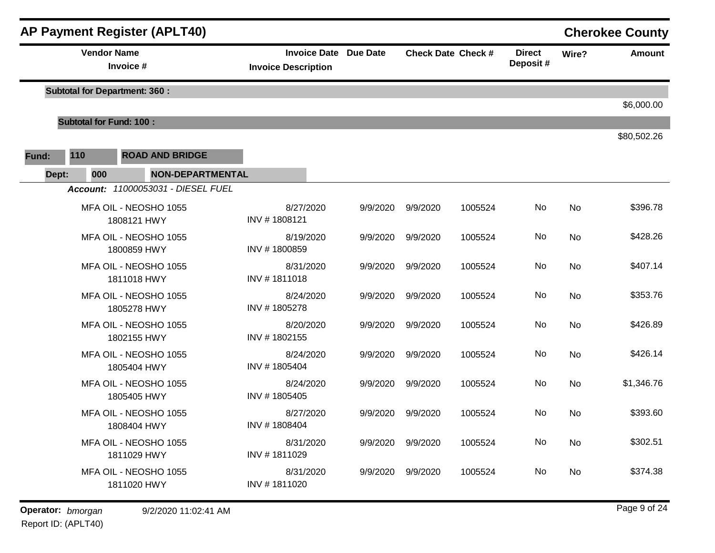|       |     | <b>AP Payment Register (APLT40)</b>  |                                                            |          |                   |                           |                           |       | <b>Cherokee County</b> |
|-------|-----|--------------------------------------|------------------------------------------------------------|----------|-------------------|---------------------------|---------------------------|-------|------------------------|
|       |     | <b>Vendor Name</b><br>Invoice #      | <b>Invoice Date Due Date</b><br><b>Invoice Description</b> |          |                   | <b>Check Date Check #</b> | <b>Direct</b><br>Deposit# | Wire? | <b>Amount</b>          |
|       |     | <b>Subtotal for Department: 360:</b> |                                                            |          |                   |                           |                           |       | \$6,000.00             |
|       |     | <b>Subtotal for Fund: 100:</b>       |                                                            |          |                   |                           |                           |       |                        |
| Fund: | 110 | <b>ROAD AND BRIDGE</b>               |                                                            |          |                   |                           |                           |       | \$80,502.26            |
| Dept: | 000 | <b>NON-DEPARTMENTAL</b>              |                                                            |          |                   |                           |                           |       |                        |
|       |     | Account: 11000053031 - DIESEL FUEL   |                                                            |          |                   |                           |                           |       |                        |
|       |     | MFA OIL - NEOSHO 1055<br>1808121 HWY | 8/27/2020<br>INV #1808121                                  | 9/9/2020 | 9/9/2020          | 1005524                   | No                        | No    | \$396.78               |
|       |     | MFA OIL - NEOSHO 1055<br>1800859 HWY | 8/19/2020<br>INV #1800859                                  | 9/9/2020 | 9/9/2020          | 1005524                   | No                        | No    | \$428.26               |
|       |     | MFA OIL - NEOSHO 1055<br>1811018 HWY | 8/31/2020<br>INV #1811018                                  | 9/9/2020 | 9/9/2020          | 1005524                   | No                        | No    | \$407.14               |
|       |     | MFA OIL - NEOSHO 1055<br>1805278 HWY | 8/24/2020<br>INV #1805278                                  | 9/9/2020 | 9/9/2020          | 1005524                   | No                        | No    | \$353.76               |
|       |     | MFA OIL - NEOSHO 1055<br>1802155 HWY | 8/20/2020<br>INV #1802155                                  | 9/9/2020 | 9/9/2020          | 1005524                   | No                        | No    | \$426.89               |
|       |     | MFA OIL - NEOSHO 1055<br>1805404 HWY | 8/24/2020<br>INV #1805404                                  | 9/9/2020 | 9/9/2020          | 1005524                   | No                        | No    | \$426.14               |
|       |     | MFA OIL - NEOSHO 1055<br>1805405 HWY | 8/24/2020<br>INV #1805405                                  | 9/9/2020 | 9/9/2020          | 1005524                   | No                        | No    | \$1,346.76             |
|       |     | MFA OIL - NEOSHO 1055<br>1808404 HWY | 8/27/2020<br>INV #1808404                                  | 9/9/2020 | 9/9/2020          | 1005524                   | No                        | No    | \$393.60               |
|       |     | MFA OIL - NEOSHO 1055<br>1811029 HWY | 8/31/2020<br>INV #1811029                                  |          | 9/9/2020 9/9/2020 | 1005524                   | No                        | No    | \$302.51               |
|       |     | MFA OIL - NEOSHO 1055<br>1811020 HWY | 8/31/2020<br>INV #1811020                                  | 9/9/2020 | 9/9/2020          | 1005524                   | No                        | No    | \$374.38               |

**Operator:** bmorgan 9/2/2020 11:02:41 AM **big and the contract of the Contract Contract Page 9 of 24 big and Page 9 of 24**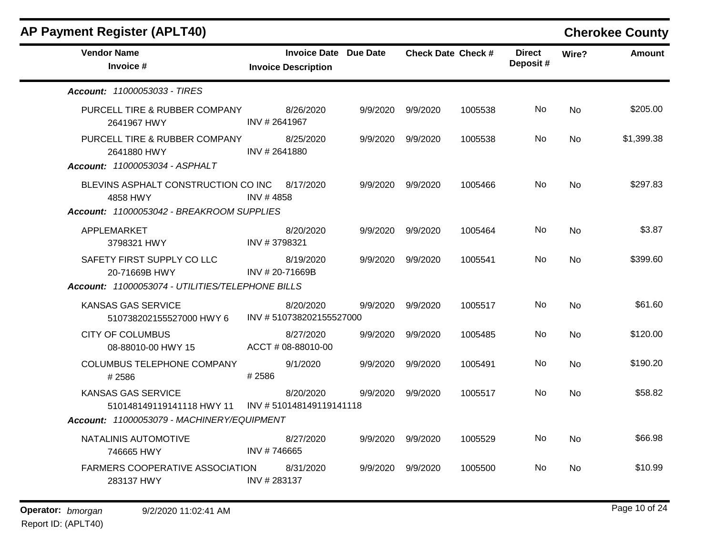| <b>AP Payment Register (APLT40)</b>                                                   |               |                                                            |          |                           |         |                           |                | <b>Cherokee County</b> |
|---------------------------------------------------------------------------------------|---------------|------------------------------------------------------------|----------|---------------------------|---------|---------------------------|----------------|------------------------|
| <b>Vendor Name</b><br>Invoice #                                                       |               | <b>Invoice Date Due Date</b><br><b>Invoice Description</b> |          | <b>Check Date Check #</b> |         | <b>Direct</b><br>Deposit# | Wire?          | <b>Amount</b>          |
| <b>Account: 11000053033 - TIRES</b>                                                   |               |                                                            |          |                           |         |                           |                |                        |
| PURCELL TIRE & RUBBER COMPANY<br>2641967 HWY                                          | INV # 2641967 | 8/26/2020                                                  |          | 9/9/2020 9/9/2020         | 1005538 | No.                       | No             | \$205.00               |
| PURCELL TIRE & RUBBER COMPANY<br>2641880 HWY<br><b>Account: 11000053034 - ASPHALT</b> | INV # 2641880 | 8/25/2020                                                  | 9/9/2020 | 9/9/2020                  | 1005538 | No.                       | N <sub>o</sub> | \$1,399.38             |
| BLEVINS ASPHALT CONSTRUCTION CO INC 8/17/2020<br>4858 HWY                             | INV #4858     |                                                            |          | 9/9/2020 9/9/2020         | 1005466 | No.                       | No.            | \$297.83               |
| Account: 11000053042 - BREAKROOM SUPPLIES                                             |               |                                                            |          |                           |         |                           |                |                        |
| APPLEMARKET<br>3798321 HWY                                                            | INV #3798321  | 8/20/2020                                                  |          | 9/9/2020 9/9/2020         | 1005464 | No.                       | <b>No</b>      | \$3.87                 |
| SAFETY FIRST SUPPLY CO LLC<br>20-71669B HWY                                           |               | 8/19/2020<br>INV # 20-71669B                               |          | 9/9/2020 9/9/2020         | 1005541 | No.                       | No.            | \$399.60               |
| Account: 11000053074 - UTILITIES/TELEPHONE BILLS                                      |               |                                                            |          |                           |         |                           |                |                        |
| <b>KANSAS GAS SERVICE</b><br>510738202155527000 HWY 6                                 |               | 8/20/2020<br>INV #510738202155527000                       | 9/9/2020 | 9/9/2020                  | 1005517 | No.                       | <b>No</b>      | \$61.60                |
| <b>CITY OF COLUMBUS</b><br>08-88010-00 HWY 15                                         |               | 8/27/2020<br>ACCT#08-88010-00                              | 9/9/2020 | 9/9/2020                  | 1005485 | No.                       | No             | \$120.00               |
| COLUMBUS TELEPHONE COMPANY<br>#2586                                                   | #2586         | 9/1/2020                                                   | 9/9/2020 | 9/9/2020                  | 1005491 | No                        | <b>No</b>      | \$190.20               |
| <b>KANSAS GAS SERVICE</b><br>510148149119141118 HWY 11                                |               | 8/20/2020<br>INV # 510148149119141118                      | 9/9/2020 | 9/9/2020                  | 1005517 | No.                       | No             | \$58.82                |
| Account: 11000053079 - MACHINERY/EQUIPMENT                                            |               |                                                            |          |                           |         |                           |                |                        |
| NATALINIS AUTOMOTIVE<br>746665 HWY                                                    | INV #746665   | 8/27/2020                                                  | 9/9/2020 | 9/9/2020                  | 1005529 | No.                       | <b>No</b>      | \$66.98                |
| <b>FARMERS COOPERATIVE ASSOCIATION</b><br>283137 HWY                                  | INV #283137   | 8/31/2020                                                  | 9/9/2020 | 9/9/2020                  | 1005500 | No.                       | No             | \$10.99                |
|                                                                                       |               |                                                            |          |                           |         |                           |                |                        |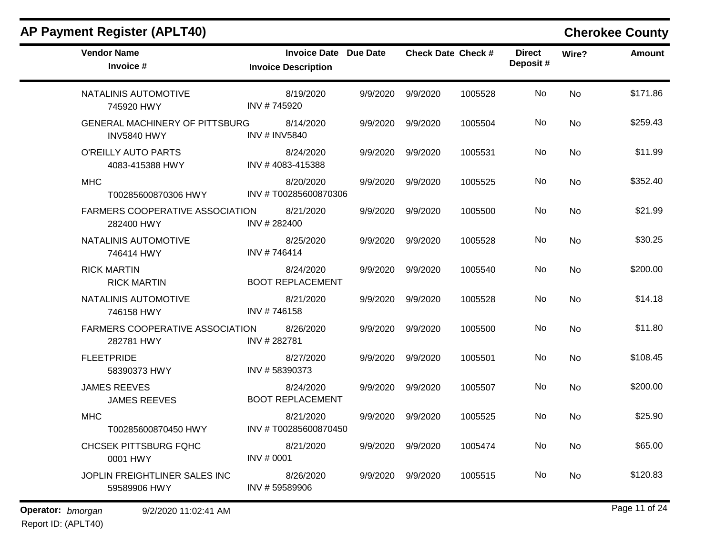| <b>AP Payment Register (APLT40)</b>                         |                                                            |          |                   |                           |                           |           | <b>Cherokee County</b> |
|-------------------------------------------------------------|------------------------------------------------------------|----------|-------------------|---------------------------|---------------------------|-----------|------------------------|
| <b>Vendor Name</b><br>Invoice #                             | <b>Invoice Date Due Date</b><br><b>Invoice Description</b> |          |                   | <b>Check Date Check #</b> | <b>Direct</b><br>Deposit# | Wire?     | <b>Amount</b>          |
| NATALINIS AUTOMOTIVE<br>745920 HWY                          | 8/19/2020<br>INV #745920                                   | 9/9/2020 | 9/9/2020          | 1005528                   | No                        | <b>No</b> | \$171.86               |
| <b>GENERAL MACHINERY OF PITTSBURG</b><br><b>INV5840 HWY</b> | 8/14/2020<br><b>INV # INV5840</b>                          | 9/9/2020 | 9/9/2020          | 1005504                   | No                        | No        | \$259.43               |
| O'REILLY AUTO PARTS<br>4083-415388 HWY                      | 8/24/2020<br>INV #4083-415388                              | 9/9/2020 | 9/9/2020          | 1005531                   | No                        | No        | \$11.99                |
| <b>MHC</b><br>T00285600870306 HWY                           | 8/20/2020<br>INV #T00285600870306                          | 9/9/2020 | 9/9/2020          | 1005525                   | No                        | <b>No</b> | \$352.40               |
| <b>FARMERS COOPERATIVE ASSOCIATION</b><br>282400 HWY        | 8/21/2020<br>INV #282400                                   | 9/9/2020 | 9/9/2020          | 1005500                   | No                        | <b>No</b> | \$21.99                |
| NATALINIS AUTOMOTIVE<br>746414 HWY                          | 8/25/2020<br>INV #746414                                   | 9/9/2020 | 9/9/2020          | 1005528                   | No                        | No        | \$30.25                |
| <b>RICK MARTIN</b><br><b>RICK MARTIN</b>                    | 8/24/2020<br><b>BOOT REPLACEMENT</b>                       | 9/9/2020 | 9/9/2020          | 1005540                   | No                        | <b>No</b> | \$200.00               |
| NATALINIS AUTOMOTIVE<br>746158 HWY                          | 8/21/2020<br>INV #746158                                   | 9/9/2020 | 9/9/2020          | 1005528                   | No                        | <b>No</b> | \$14.18                |
| <b>FARMERS COOPERATIVE ASSOCIATION</b><br>282781 HWY        | 8/26/2020<br>INV #282781                                   | 9/9/2020 | 9/9/2020          | 1005500                   | No                        | <b>No</b> | \$11.80                |
| <b>FLEETPRIDE</b><br>58390373 HWY                           | 8/27/2020<br>INV #58390373                                 | 9/9/2020 | 9/9/2020          | 1005501                   | No                        | No        | \$108.45               |
| <b>JAMES REEVES</b><br><b>JAMES REEVES</b>                  | 8/24/2020<br><b>BOOT REPLACEMENT</b>                       | 9/9/2020 | 9/9/2020          | 1005507                   | No                        | <b>No</b> | \$200.00               |
| <b>MHC</b><br>T00285600870450 HWY                           | 8/21/2020<br>INV #T00285600870450                          | 9/9/2020 | 9/9/2020          | 1005525                   | No                        | No        | \$25.90                |
| <b>CHCSEK PITTSBURG FQHC</b><br>0001 HWY                    | 8/21/2020<br>INV # 0001                                    |          | 9/9/2020 9/9/2020 | 1005474                   | No                        | No        | \$65.00                |
| JOPLIN FREIGHTLINER SALES INC<br>59589906 HWY               | 8/26/2020<br>INV #59589906                                 | 9/9/2020 | 9/9/2020          | 1005515                   | No                        | No        | \$120.83               |
| Operator: bmorgan<br>9/2/2020 11:02:41 AM                   |                                                            |          |                   |                           |                           |           | Page 11 of 24          |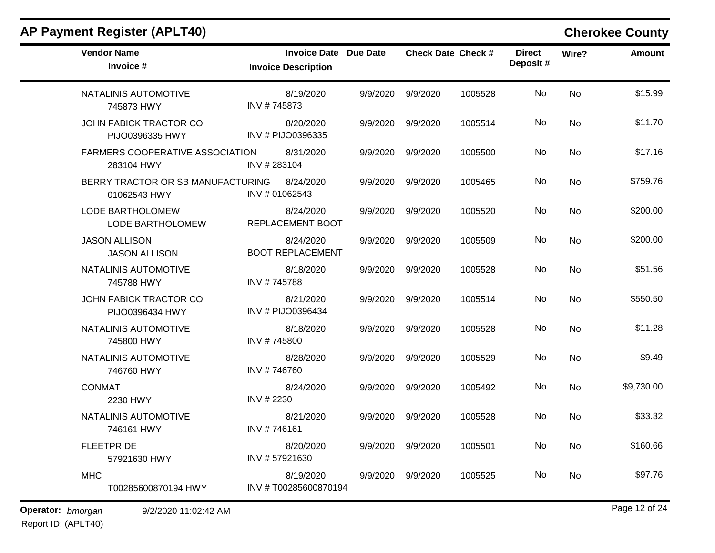| <b>Vendor Name</b><br>Invoice #                      | <b>Invoice Date Due Date</b><br><b>Invoice Description</b> |          | <b>Check Date Check #</b> |         | <b>Direct</b><br>Deposit# | Wire?     | <b>Amount</b> |
|------------------------------------------------------|------------------------------------------------------------|----------|---------------------------|---------|---------------------------|-----------|---------------|
| NATALINIS AUTOMOTIVE<br>745873 HWY                   | 8/19/2020<br>INV #745873                                   | 9/9/2020 | 9/9/2020                  | 1005528 | No                        | <b>No</b> | \$15.99       |
| JOHN FABICK TRACTOR CO<br>PIJO0396335 HWY            | 8/20/2020<br>INV # PIJO0396335                             | 9/9/2020 | 9/9/2020                  | 1005514 | No                        | <b>No</b> | \$11.70       |
| <b>FARMERS COOPERATIVE ASSOCIATION</b><br>283104 HWY | 8/31/2020<br>INV #283104                                   | 9/9/2020 | 9/9/2020                  | 1005500 | No.                       | <b>No</b> | \$17.16       |
| BERRY TRACTOR OR SB MANUFACTURING<br>01062543 HWY    | 8/24/2020<br>INV # 01062543                                | 9/9/2020 | 9/9/2020                  | 1005465 | No                        | <b>No</b> | \$759.76      |
| LODE BARTHOLOMEW<br>LODE BARTHOLOMEW                 | 8/24/2020<br>REPLACEMENT BOOT                              | 9/9/2020 | 9/9/2020                  | 1005520 | No                        | No        | \$200.00      |
| <b>JASON ALLISON</b><br><b>JASON ALLISON</b>         | 8/24/2020<br><b>BOOT REPLACEMENT</b>                       | 9/9/2020 | 9/9/2020                  | 1005509 | No                        | <b>No</b> | \$200.00      |
| NATALINIS AUTOMOTIVE<br>745788 HWY                   | 8/18/2020<br>INV #745788                                   | 9/9/2020 | 9/9/2020                  | 1005528 | No                        | <b>No</b> | \$51.56       |
| JOHN FABICK TRACTOR CO<br>PIJO0396434 HWY            | 8/21/2020<br>INV # PIJO0396434                             | 9/9/2020 | 9/9/2020                  | 1005514 | No                        | <b>No</b> | \$550.50      |
| NATALINIS AUTOMOTIVE<br>745800 HWY                   | 8/18/2020<br>INV #745800                                   | 9/9/2020 | 9/9/2020                  | 1005528 | No                        | <b>No</b> | \$11.28       |
| NATALINIS AUTOMOTIVE<br>746760 HWY                   | 8/28/2020<br>INV #746760                                   | 9/9/2020 | 9/9/2020                  | 1005529 | No                        | <b>No</b> | \$9.49        |
| <b>CONMAT</b><br>2230 HWY                            | 8/24/2020<br>INV # 2230                                    | 9/9/2020 | 9/9/2020                  | 1005492 | No                        | <b>No</b> | \$9,730.00    |
| NATALINIS AUTOMOTIVE<br>746161 HWY                   | 8/21/2020<br>INV #746161                                   | 9/9/2020 | 9/9/2020                  | 1005528 | No                        | No        | \$33.32       |
| <b>FLEETPRIDE</b><br>57921630 HWY                    | 8/20/2020<br>INV #57921630                                 | 9/9/2020 | 9/9/2020                  | 1005501 | No                        | <b>No</b> | \$160.66      |
| <b>MHC</b><br>T00285600870194 HWY                    | 8/19/2020<br>INV #T00285600870194                          | 9/9/2020 | 9/9/2020                  | 1005525 | No                        | No        | \$97.76       |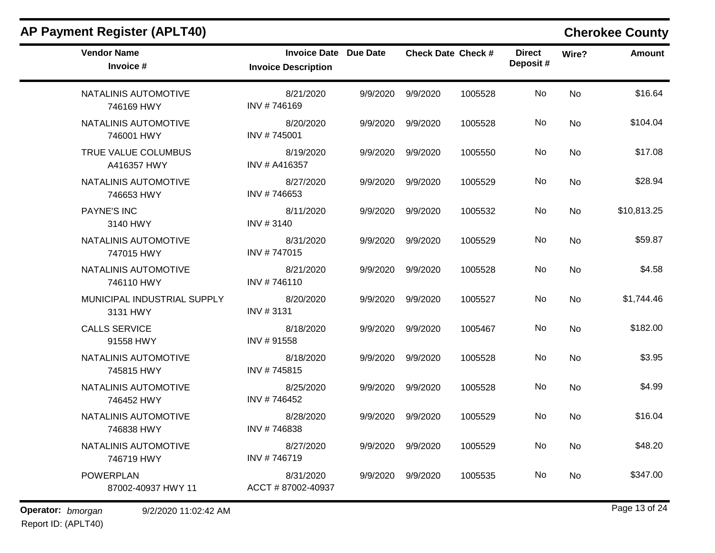| <b>AP Payment Register (APLT40)</b>     |                                                            |          |                   |                           |                           |           | <b>Cherokee County</b> |
|-----------------------------------------|------------------------------------------------------------|----------|-------------------|---------------------------|---------------------------|-----------|------------------------|
| <b>Vendor Name</b><br>Invoice #         | <b>Invoice Date Due Date</b><br><b>Invoice Description</b> |          |                   | <b>Check Date Check #</b> | <b>Direct</b><br>Deposit# | Wire?     | <b>Amount</b>          |
| NATALINIS AUTOMOTIVE<br>746169 HWY      | 8/21/2020<br>INV #746169                                   | 9/9/2020 | 9/9/2020          | 1005528                   | No                        | No        | \$16.64                |
| NATALINIS AUTOMOTIVE<br>746001 HWY      | 8/20/2020<br>INV #745001                                   | 9/9/2020 | 9/9/2020          | 1005528                   | No                        | No        | \$104.04               |
| TRUE VALUE COLUMBUS<br>A416357 HWY      | 8/19/2020<br>INV # A416357                                 | 9/9/2020 | 9/9/2020          | 1005550                   | No                        | No        | \$17.08                |
| NATALINIS AUTOMOTIVE<br>746653 HWY      | 8/27/2020<br>INV #746653                                   | 9/9/2020 | 9/9/2020          | 1005529                   | No                        | <b>No</b> | \$28.94                |
| <b>PAYNE'S INC</b><br>3140 HWY          | 8/11/2020<br>INV #3140                                     | 9/9/2020 | 9/9/2020          | 1005532                   | No                        | No        | \$10,813.25            |
| NATALINIS AUTOMOTIVE<br>747015 HWY      | 8/31/2020<br>INV #747015                                   | 9/9/2020 | 9/9/2020          | 1005529                   | No                        | No        | \$59.87                |
| NATALINIS AUTOMOTIVE<br>746110 HWY      | 8/21/2020<br>INV #746110                                   | 9/9/2020 | 9/9/2020          | 1005528                   | No                        | No        | \$4.58                 |
| MUNICIPAL INDUSTRIAL SUPPLY<br>3131 HWY | 8/20/2020<br>INV #3131                                     | 9/9/2020 | 9/9/2020          | 1005527                   | No                        | No        | \$1,744.46             |
| <b>CALLS SERVICE</b><br>91558 HWY       | 8/18/2020<br>INV #91558                                    | 9/9/2020 | 9/9/2020          | 1005467                   | No                        | No        | \$182.00               |
| NATALINIS AUTOMOTIVE<br>745815 HWY      | 8/18/2020<br>INV #745815                                   | 9/9/2020 | 9/9/2020          | 1005528                   | No                        | No        | \$3.95                 |
| NATALINIS AUTOMOTIVE<br>746452 HWY      | 8/25/2020<br>INV #746452                                   | 9/9/2020 | 9/9/2020          | 1005528                   | No                        | No        | \$4.99                 |
| NATALINIS AUTOMOTIVE<br>746838 HWY      | 8/28/2020<br>INV #746838                                   | 9/9/2020 | 9/9/2020          | 1005529                   | No                        | No        | \$16.04                |
| NATALINIS AUTOMOTIVE<br>746719 HWY      | 8/27/2020<br>INV #746719                                   |          | 9/9/2020 9/9/2020 | 1005529                   | No                        | No        | \$48.20                |
| <b>POWERPLAN</b><br>87002-40937 HWY 11  | 8/31/2020<br>ACCT #87002-40937                             | 9/9/2020 | 9/9/2020          | 1005535                   | No                        | No        | \$347.00               |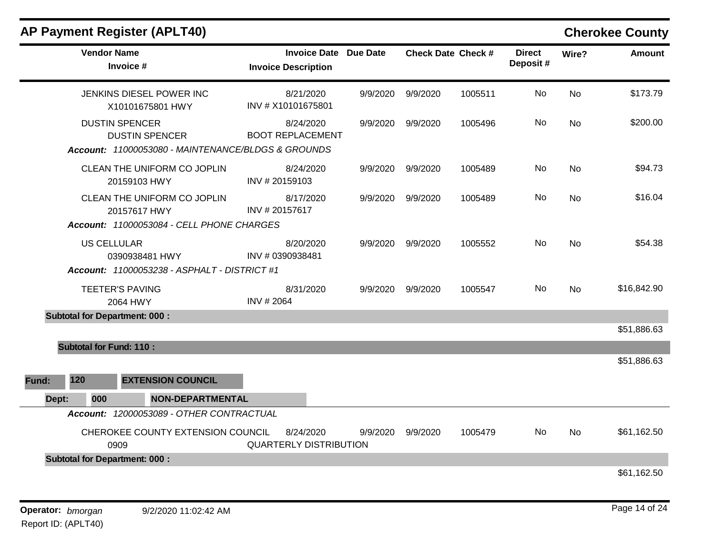|       |                                      | <b>AP Payment Register (APLT40)</b>                                                      |                                                            |          |                   |                           |                           |           | <b>Cherokee County</b> |
|-------|--------------------------------------|------------------------------------------------------------------------------------------|------------------------------------------------------------|----------|-------------------|---------------------------|---------------------------|-----------|------------------------|
|       | <b>Vendor Name</b>                   | Invoice #                                                                                | <b>Invoice Date Due Date</b><br><b>Invoice Description</b> |          |                   | <b>Check Date Check #</b> | <b>Direct</b><br>Deposit# | Wire?     | <b>Amount</b>          |
|       |                                      | JENKINS DIESEL POWER INC<br>X10101675801 HWY                                             | 8/21/2020<br>INV # X10101675801                            | 9/9/2020 | 9/9/2020          | 1005511                   | No                        | <b>No</b> | \$173.79               |
|       | <b>DUSTIN SPENCER</b>                | <b>DUSTIN SPENCER</b><br>Account: 11000053080 - MAINTENANCE/BLDGS & GROUNDS              | 8/24/2020<br><b>BOOT REPLACEMENT</b>                       | 9/9/2020 | 9/9/2020          | 1005496                   | No                        | <b>No</b> | \$200.00               |
|       |                                      | CLEAN THE UNIFORM CO JOPLIN<br>20159103 HWY                                              | 8/24/2020<br>INV #20159103                                 | 9/9/2020 | 9/9/2020          | 1005489                   | No                        | <b>No</b> | \$94.73                |
|       |                                      | CLEAN THE UNIFORM CO JOPLIN<br>20157617 HWY<br>Account: 11000053084 - CELL PHONE CHARGES | 8/17/2020<br>INV #20157617                                 | 9/9/2020 | 9/9/2020          | 1005489                   | No                        | <b>No</b> | \$16.04                |
|       | <b>US CELLULAR</b>                   | 0390938481 HWY<br>Account: 11000053238 - ASPHALT - DISTRICT #1                           | 8/20/2020<br>INV # 0390938481                              | 9/9/2020 | 9/9/2020          | 1005552                   | No                        | <b>No</b> | \$54.38                |
|       | <b>TEETER'S PAVING</b>               | 2064 HWY                                                                                 | 8/31/2020<br>INV # 2064                                    | 9/9/2020 | 9/9/2020          | 1005547                   | No                        | <b>No</b> | \$16,842.90            |
|       | <b>Subtotal for Department: 000:</b> |                                                                                          |                                                            |          |                   |                           |                           |           | \$51,886.63            |
|       | <b>Subtotal for Fund: 110:</b>       |                                                                                          |                                                            |          |                   |                           |                           |           |                        |
| Fund: | 120                                  | <b>EXTENSION COUNCIL</b>                                                                 |                                                            |          |                   |                           |                           |           | \$51,886.63            |
| Dept: | 000                                  | <b>NON-DEPARTMENTAL</b>                                                                  |                                                            |          |                   |                           |                           |           |                        |
|       |                                      | Account: 12000053089 - OTHER CONTRACTUAL                                                 |                                                            |          |                   |                           |                           |           |                        |
|       | 0909                                 | CHEROKEE COUNTY EXTENSION COUNCIL                                                        | 8/24/2020<br><b>QUARTERLY DISTRIBUTION</b>                 |          | 9/9/2020 9/9/2020 | 1005479                   | No                        | No        | \$61,162.50            |
|       | <b>Subtotal for Department: 000:</b> |                                                                                          |                                                            |          |                   |                           |                           |           |                        |
|       |                                      |                                                                                          |                                                            |          |                   |                           |                           |           | \$61,162.50            |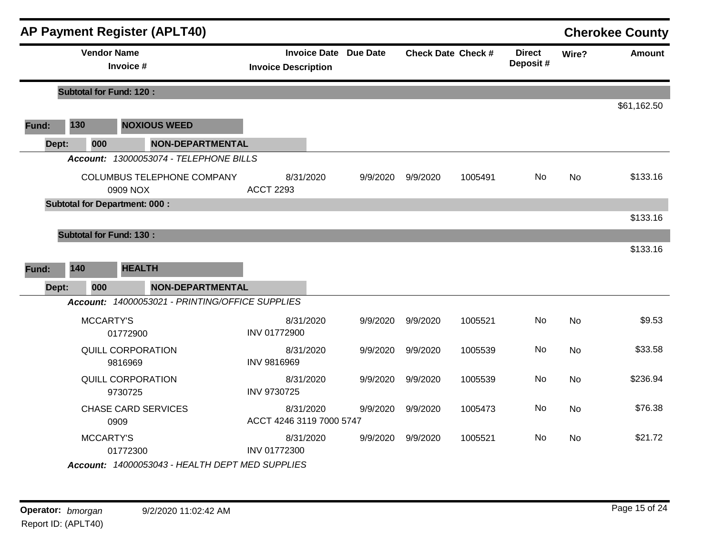|       |     |                                 | <b>AP Payment Register (APLT40)</b>             |                               |           |                              |          |                           |                           |           | <b>Cherokee County</b> |
|-------|-----|---------------------------------|-------------------------------------------------|-------------------------------|-----------|------------------------------|----------|---------------------------|---------------------------|-----------|------------------------|
|       |     | <b>Vendor Name</b><br>Invoice # |                                                 | <b>Invoice Description</b>    |           | <b>Invoice Date Due Date</b> |          | <b>Check Date Check #</b> | <b>Direct</b><br>Deposit# | Wire?     | <b>Amount</b>          |
|       |     | <b>Subtotal for Fund: 120:</b>  |                                                 |                               |           |                              |          |                           |                           |           |                        |
|       |     |                                 |                                                 |                               |           |                              |          |                           |                           |           | \$61,162.50            |
| Fund: | 130 |                                 | <b>NOXIOUS WEED</b>                             |                               |           |                              |          |                           |                           |           |                        |
| Dept: |     | 000                             | <b>NON-DEPARTMENTAL</b>                         |                               |           |                              |          |                           |                           |           |                        |
|       |     |                                 | Account: 13000053074 - TELEPHONE BILLS          |                               |           |                              |          |                           |                           |           |                        |
|       |     | 0909 NOX                        | COLUMBUS TELEPHONE COMPANY                      | 8/31/2020<br><b>ACCT 2293</b> |           | 9/9/2020                     | 9/9/2020 | 1005491                   | No                        | <b>No</b> | \$133.16               |
|       |     |                                 | <b>Subtotal for Department: 000:</b>            |                               |           |                              |          |                           |                           |           |                        |
|       |     |                                 |                                                 |                               |           |                              |          |                           |                           |           | \$133.16               |
|       |     | <b>Subtotal for Fund: 130:</b>  |                                                 |                               |           |                              |          |                           |                           |           |                        |
|       |     |                                 |                                                 |                               |           |                              |          |                           |                           |           | \$133.16               |
| Fund: | 140 |                                 | <b>HEALTH</b>                                   |                               |           |                              |          |                           |                           |           |                        |
| Dept: |     | 000                             | <b>NON-DEPARTMENTAL</b>                         |                               |           |                              |          |                           |                           |           |                        |
|       |     |                                 | Account: 14000053021 - PRINTING/OFFICE SUPPLIES |                               |           |                              |          |                           |                           |           |                        |
|       |     | MCCARTY'S<br>01772900           |                                                 | INV 01772900                  | 8/31/2020 | 9/9/2020                     | 9/9/2020 | 1005521                   | No                        | No        | \$9.53                 |
|       |     | 9816969                         | QUILL CORPORATION                               | INV 9816969                   | 8/31/2020 | 9/9/2020                     | 9/9/2020 | 1005539                   | No                        | No        | \$33.58                |
|       |     | 9730725                         | <b>QUILL CORPORATION</b>                        | INV 9730725                   | 8/31/2020 | 9/9/2020                     | 9/9/2020 | 1005539                   | No                        | <b>No</b> | \$236.94               |
|       |     | 0909                            | <b>CHASE CARD SERVICES</b>                      | ACCT 4246 3119 7000 5747      | 8/31/2020 | 9/9/2020                     | 9/9/2020 | 1005473                   | No                        | <b>No</b> | \$76.38                |
|       |     | MCCARTY'S<br>01772300           |                                                 | INV 01772300                  | 8/31/2020 | 9/9/2020                     | 9/9/2020 | 1005521                   | No                        | No        | \$21.72                |
|       |     |                                 | Account: 14000053043 - HEALTH DEPT MED SUPPLIES |                               |           |                              |          |                           |                           |           |                        |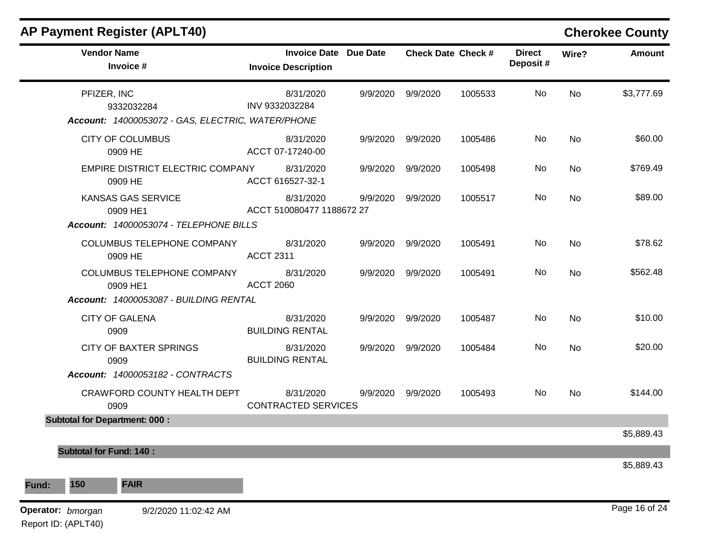| <b>AP Payment Register (APLT40)</b>                                            |                                                   |          |                           |         |                           |       | <b>Cherokee County</b> |
|--------------------------------------------------------------------------------|---------------------------------------------------|----------|---------------------------|---------|---------------------------|-------|------------------------|
| <b>Vendor Name</b><br>Invoice #                                                | <b>Invoice Date</b><br><b>Invoice Description</b> | Due Date | <b>Check Date Check #</b> |         | <b>Direct</b><br>Deposit# | Wire? | <b>Amount</b>          |
| PFIZER, INC<br>9332032284<br>Account: 14000053072 - GAS, ELECTRIC, WATER/PHONE | 8/31/2020<br>INV 9332032284                       | 9/9/2020 | 9/9/2020                  | 1005533 | No                        | No    | \$3,777.69             |
| <b>CITY OF COLUMBUS</b><br>0909 HE                                             | 8/31/2020<br>ACCT 07-17240-00                     | 9/9/2020 | 9/9/2020                  | 1005486 | No                        | No    | \$60.00                |
| EMPIRE DISTRICT ELECTRIC COMPANY<br>0909 HE                                    | 8/31/2020<br>ACCT 616527-32-1                     | 9/9/2020 | 9/9/2020                  | 1005498 | No                        | No    | \$769.49               |
| KANSAS GAS SERVICE<br>0909 HE1                                                 | 8/31/2020<br>ACCT 510080477 1188672 27            | 9/9/2020 | 9/9/2020                  | 1005517 | No                        | No    | \$89.00                |
| Account: 14000053074 - TELEPHONE BILLS                                         |                                                   |          |                           |         |                           |       |                        |
| COLUMBUS TELEPHONE COMPANY<br>0909 HE                                          | 8/31/2020<br><b>ACCT 2311</b>                     | 9/9/2020 | 9/9/2020                  | 1005491 | No                        | No    | \$78.62                |
| COLUMBUS TELEPHONE COMPANY<br>0909 HE1                                         | 8/31/2020<br><b>ACCT 2060</b>                     | 9/9/2020 | 9/9/2020                  | 1005491 | No                        | No    | \$562.48               |
| Account: 14000053087 - BUILDING RENTAL                                         |                                                   |          |                           |         |                           |       |                        |
| <b>CITY OF GALENA</b><br>0909                                                  | 8/31/2020<br><b>BUILDING RENTAL</b>               | 9/9/2020 | 9/9/2020                  | 1005487 | No                        | No    | \$10.00                |
| <b>CITY OF BAXTER SPRINGS</b><br>0909                                          | 8/31/2020<br><b>BUILDING RENTAL</b>               | 9/9/2020 | 9/9/2020                  | 1005484 | No                        | No    | \$20.00                |
| Account: 14000053182 - CONTRACTS                                               |                                                   |          |                           |         |                           |       |                        |
| CRAWFORD COUNTY HEALTH DEPT<br>0909                                            | 8/31/2020<br><b>CONTRACTED SERVICES</b>           | 9/9/2020 | 9/9/2020                  | 1005493 | No                        | No    | \$144.00               |
| <b>Subtotal for Department: 000:</b>                                           |                                                   |          |                           |         |                           |       |                        |
|                                                                                |                                                   |          |                           |         |                           |       | \$5,889.43             |
| <b>Subtotal for Fund: 140:</b>                                                 |                                                   |          |                           |         |                           |       | \$5,889.43             |
| 150<br><b>FAIR</b>                                                             |                                                   |          |                           |         |                           |       |                        |
| Operator: bmorgan<br>9/2/2020 11:02:42 AM<br>Report ID: (APLT40)               |                                                   |          |                           |         |                           |       | Page 16 of 24          |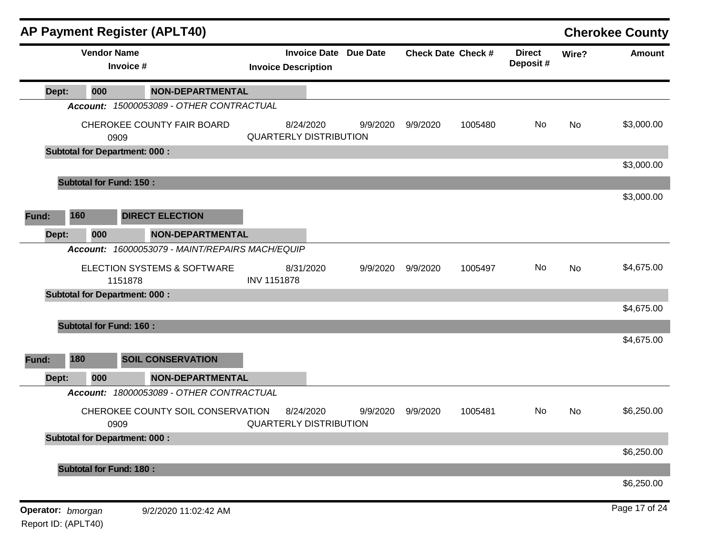|                   |                 | <b>AP Payment Register (APLT40)</b>             |                    |                                                            |          |                           |         |                           |           | <b>Cherokee County</b> |
|-------------------|-----------------|-------------------------------------------------|--------------------|------------------------------------------------------------|----------|---------------------------|---------|---------------------------|-----------|------------------------|
|                   |                 | <b>Vendor Name</b><br>Invoice #                 |                    | <b>Invoice Date Due Date</b><br><b>Invoice Description</b> |          | <b>Check Date Check #</b> |         | <b>Direct</b><br>Deposit# | Wire?     | <b>Amount</b>          |
| Dept:             | 000             | <b>NON-DEPARTMENTAL</b>                         |                    |                                                            |          |                           |         |                           |           |                        |
|                   |                 | Account: 15000053089 - OTHER CONTRACTUAL        |                    |                                                            |          |                           |         |                           |           |                        |
|                   |                 | CHEROKEE COUNTY FAIR BOARD<br>0909              |                    | 8/24/2020<br><b>QUARTERLY DISTRIBUTION</b>                 | 9/9/2020 | 9/9/2020                  | 1005480 | No                        | No        | \$3,000.00             |
|                   |                 | <b>Subtotal for Department: 000:</b>            |                    |                                                            |          |                           |         |                           |           |                        |
|                   |                 |                                                 |                    |                                                            |          |                           |         |                           |           | \$3,000.00             |
|                   |                 | <b>Subtotal for Fund: 150:</b>                  |                    |                                                            |          |                           |         |                           |           |                        |
|                   |                 |                                                 |                    |                                                            |          |                           |         |                           |           | \$3,000.00             |
| Fund:             | 160             | <b>DIRECT ELECTION</b>                          |                    |                                                            |          |                           |         |                           |           |                        |
| Dept:             | 000             | <b>NON-DEPARTMENTAL</b>                         |                    |                                                            |          |                           |         |                           |           |                        |
|                   |                 | Account: 16000053079 - MAINT/REPAIRS MACH/EQUIP |                    |                                                            |          |                           |         |                           |           |                        |
|                   |                 | ELECTION SYSTEMS & SOFTWARE<br>1151878          | <b>INV 1151878</b> | 8/31/2020                                                  | 9/9/2020 | 9/9/2020                  | 1005497 | No                        | <b>No</b> | \$4,675.00             |
|                   |                 | <b>Subtotal for Department: 000:</b>            |                    |                                                            |          |                           |         |                           |           |                        |
|                   |                 |                                                 |                    |                                                            |          |                           |         |                           |           | \$4,675.00             |
|                   |                 | <b>Subtotal for Fund: 160:</b>                  |                    |                                                            |          |                           |         |                           |           | \$4,675.00             |
|                   |                 |                                                 |                    |                                                            |          |                           |         |                           |           |                        |
| Fund:             | 180             | <b>SOIL CONSERVATION</b>                        |                    |                                                            |          |                           |         |                           |           |                        |
| Dept:             | 000             | <b>NON-DEPARTMENTAL</b>                         |                    |                                                            |          |                           |         |                           |           |                        |
|                   | <b>Account:</b> | 18000053089 - OTHER CONTRACTUAL                 |                    |                                                            |          |                           |         |                           |           |                        |
|                   |                 | CHEROKEE COUNTY SOIL CONSERVATION<br>0909       |                    | 8/24/2020<br><b>QUARTERLY DISTRIBUTION</b>                 | 9/9/2020 | 9/9/2020                  | 1005481 | No                        | No        | \$6,250.00             |
|                   |                 | <b>Subtotal for Department: 000:</b>            |                    |                                                            |          |                           |         |                           |           |                        |
|                   |                 |                                                 |                    |                                                            |          |                           |         |                           |           | \$6,250.00             |
|                   |                 | <b>Subtotal for Fund: 180:</b>                  |                    |                                                            |          |                           |         |                           |           | \$6,250.00             |
|                   |                 |                                                 |                    |                                                            |          |                           |         |                           |           |                        |
| Operator: bmorgan |                 | 9/2/2020 11:02:42 AM                            |                    |                                                            |          |                           |         |                           |           | Page 17 of 24          |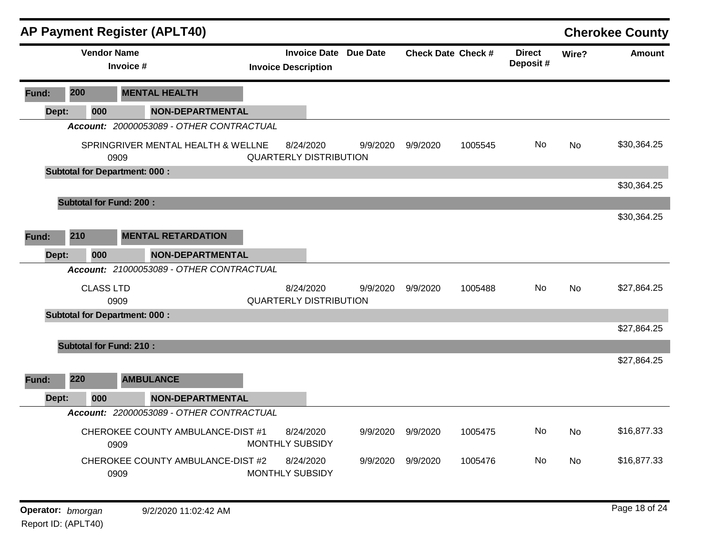|       |     |                    |                                      | <b>AP Payment Register (APLT40)</b>      |                                                     |          |                           |         |                           |           | <b>Cherokee County</b> |
|-------|-----|--------------------|--------------------------------------|------------------------------------------|-----------------------------------------------------|----------|---------------------------|---------|---------------------------|-----------|------------------------|
|       |     | <b>Vendor Name</b> | Invoice #                            |                                          | Invoice Date Due Date<br><b>Invoice Description</b> |          | <b>Check Date Check #</b> |         | <b>Direct</b><br>Deposit# | Wire?     | <b>Amount</b>          |
| Fund: | 200 |                    |                                      | <b>MENTAL HEALTH</b>                     |                                                     |          |                           |         |                           |           |                        |
| Dept: |     | 000                |                                      | <b>NON-DEPARTMENTAL</b>                  |                                                     |          |                           |         |                           |           |                        |
|       |     |                    |                                      | Account: 20000053089 - OTHER CONTRACTUAL |                                                     |          |                           |         |                           |           |                        |
|       |     |                    | 0909                                 | SPRINGRIVER MENTAL HEALTH & WELLNE       | 8/24/2020<br><b>QUARTERLY DISTRIBUTION</b>          | 9/9/2020 | 9/9/2020                  | 1005545 | No                        | <b>No</b> | \$30,364.25            |
|       |     |                    | <b>Subtotal for Department: 000:</b> |                                          |                                                     |          |                           |         |                           |           |                        |
|       |     |                    |                                      |                                          |                                                     |          |                           |         |                           |           | \$30,364.25            |
|       |     |                    | <b>Subtotal for Fund: 200:</b>       |                                          |                                                     |          |                           |         |                           |           |                        |
|       |     |                    |                                      |                                          |                                                     |          |                           |         |                           |           | \$30,364.25            |
| Fund: | 210 |                    |                                      | <b>MENTAL RETARDATION</b>                |                                                     |          |                           |         |                           |           |                        |
| Dept: |     | 000                |                                      | <b>NON-DEPARTMENTAL</b>                  |                                                     |          |                           |         |                           |           |                        |
|       |     |                    |                                      | Account: 21000053089 - OTHER CONTRACTUAL |                                                     |          |                           |         |                           |           |                        |
|       |     | <b>CLASS LTD</b>   |                                      |                                          | 8/24/2020                                           | 9/9/2020 | 9/9/2020                  | 1005488 | No.                       | <b>No</b> | \$27,864.25            |
|       |     |                    | 0909                                 |                                          | <b>QUARTERLY DISTRIBUTION</b>                       |          |                           |         |                           |           |                        |
|       |     |                    | <b>Subtotal for Department: 000:</b> |                                          |                                                     |          |                           |         |                           |           |                        |
|       |     |                    |                                      |                                          |                                                     |          |                           |         |                           |           | \$27,864.25            |
|       |     |                    | <b>Subtotal for Fund: 210:</b>       |                                          |                                                     |          |                           |         |                           |           |                        |
|       |     |                    |                                      |                                          |                                                     |          |                           |         |                           |           | \$27,864.25            |
| Fund: | 220 |                    |                                      | <b>AMBULANCE</b>                         |                                                     |          |                           |         |                           |           |                        |
| Dept: |     | 000                |                                      | <b>NON-DEPARTMENTAL</b>                  |                                                     |          |                           |         |                           |           |                        |
|       |     |                    |                                      | Account: 22000053089 - OTHER CONTRACTUAL |                                                     |          |                           |         |                           |           |                        |
|       |     |                    | 0909                                 | CHEROKEE COUNTY AMBULANCE-DIST #1        | 8/24/2020<br>MONTHLY SUBSIDY                        | 9/9/2020 | 9/9/2020                  | 1005475 | No                        | <b>No</b> | \$16,877.33            |
|       |     |                    | 0909                                 | CHEROKEE COUNTY AMBULANCE-DIST #2        | 8/24/2020<br>MONTHLY SUBSIDY                        | 9/9/2020 | 9/9/2020                  | 1005476 | No.                       | <b>No</b> | \$16,877.33            |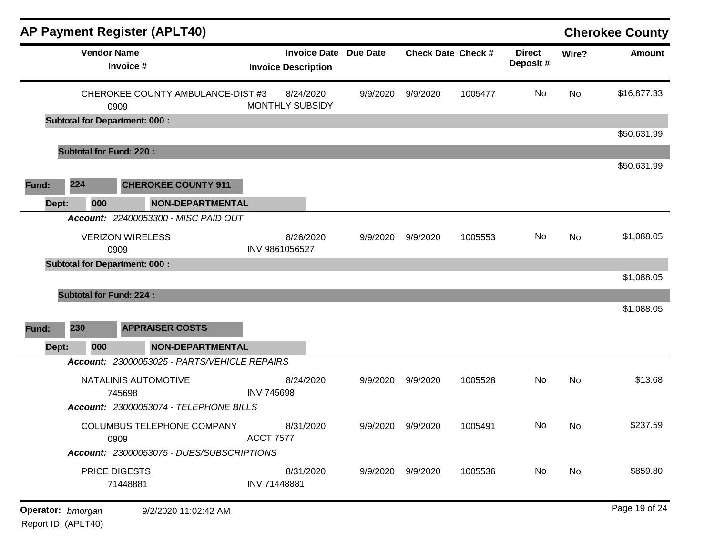|       |                                      | <b>AP Payment Register (APLT40)</b>                                                                                      |                   |                                                            |          |                   |                           |                           |       | <b>Cherokee County</b> |
|-------|--------------------------------------|--------------------------------------------------------------------------------------------------------------------------|-------------------|------------------------------------------------------------|----------|-------------------|---------------------------|---------------------------|-------|------------------------|
|       | <b>Vendor Name</b>                   | Invoice #                                                                                                                |                   | <b>Invoice Date Due Date</b><br><b>Invoice Description</b> |          |                   | <b>Check Date Check #</b> | <b>Direct</b><br>Deposit# | Wire? | <b>Amount</b>          |
|       | 0909                                 | CHEROKEE COUNTY AMBULANCE-DIST #3                                                                                        |                   | 8/24/2020<br><b>MONTHLY SUBSIDY</b>                        | 9/9/2020 | 9/9/2020          | 1005477                   | No                        | No    | \$16,877.33            |
|       | <b>Subtotal for Department: 000:</b> |                                                                                                                          |                   |                                                            |          |                   |                           |                           |       | \$50,631.99            |
|       | <b>Subtotal for Fund: 220:</b>       |                                                                                                                          |                   |                                                            |          |                   |                           |                           |       |                        |
| Fund: | 224                                  | <b>CHEROKEE COUNTY 911</b>                                                                                               |                   |                                                            |          |                   |                           |                           |       | \$50,631.99            |
| Dept: | 000                                  | <b>NON-DEPARTMENTAL</b>                                                                                                  |                   |                                                            |          |                   |                           |                           |       |                        |
|       | 0909                                 | Account: 22400053300 - MISC PAID OUT<br><b>VERIZON WIRELESS</b>                                                          | INV 9861056527    | 8/26/2020                                                  | 9/9/2020 | 9/9/2020          | 1005553                   | No                        | No    | \$1,088.05             |
|       | <b>Subtotal for Department: 000:</b> |                                                                                                                          |                   |                                                            |          |                   |                           |                           |       | \$1,088.05             |
|       | <b>Subtotal for Fund: 224:</b>       |                                                                                                                          |                   |                                                            |          |                   |                           |                           |       |                        |
| Fund: | 230                                  | <b>APPRAISER COSTS</b>                                                                                                   |                   |                                                            |          |                   |                           |                           |       | \$1,088.05             |
| Dept: | 000                                  | <b>NON-DEPARTMENTAL</b>                                                                                                  |                   |                                                            |          |                   |                           |                           |       |                        |
|       |                                      | Account: 23000053025 - PARTS/VEHICLE REPAIRS<br>NATALINIS AUTOMOTIVE<br>745698<br>Account: 23000053074 - TELEPHONE BILLS | <b>INV 745698</b> | 8/24/2020                                                  | 9/9/2020 | 9/9/2020          | 1005528                   | No                        | No    | \$13.68                |
|       | 0909                                 | <b>COLUMBUS TELEPHONE COMPANY</b><br>Account: 23000053075 - DUES/SUBSCRIPTIONS                                           | <b>ACCT 7577</b>  | 8/31/2020                                                  | 9/9/2020 | 9/9/2020          | 1005491                   | No.                       | No.   | \$237.59               |
|       | <b>PRICE DIGESTS</b>                 | 71448881                                                                                                                 | INV 71448881      | 8/31/2020                                                  |          | 9/9/2020 9/9/2020 | 1005536                   | No                        | No    | \$859.80               |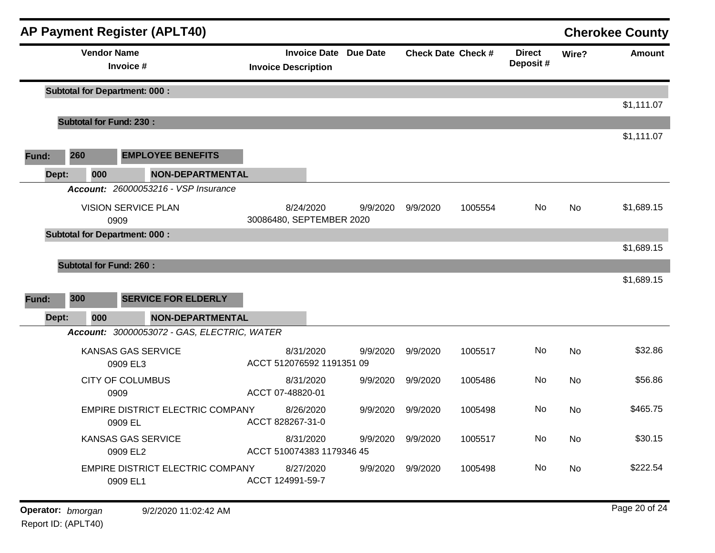|       |                                |                                 | <b>AP Payment Register (APLT40)</b>         |                                        |                              |          |                           |                           |           | <b>Cherokee County</b> |
|-------|--------------------------------|---------------------------------|---------------------------------------------|----------------------------------------|------------------------------|----------|---------------------------|---------------------------|-----------|------------------------|
|       |                                | <b>Vendor Name</b><br>Invoice # |                                             | <b>Invoice Description</b>             | <b>Invoice Date Due Date</b> |          | <b>Check Date Check #</b> | <b>Direct</b><br>Deposit# | Wire?     | <b>Amount</b>          |
|       |                                |                                 | <b>Subtotal for Department: 000:</b>        |                                        |                              |          |                           |                           |           |                        |
|       |                                |                                 |                                             |                                        |                              |          |                           |                           |           | \$1,111.07             |
|       | <b>Subtotal for Fund: 230:</b> |                                 |                                             |                                        |                              |          |                           |                           |           | \$1,111.07             |
| Fund: | 260                            |                                 | <b>EMPLOYEE BENEFITS</b>                    |                                        |                              |          |                           |                           |           |                        |
|       | Dept:                          | 000                             | <b>NON-DEPARTMENTAL</b>                     |                                        |                              |          |                           |                           |           |                        |
|       |                                |                                 | Account: 26000053216 - VSP Insurance        |                                        |                              |          |                           |                           |           |                        |
|       |                                |                                 | VISION SERVICE PLAN                         | 8/24/2020                              | 9/9/2020                     | 9/9/2020 | 1005554                   | No                        | <b>No</b> | \$1,689.15             |
|       |                                | 0909                            | <b>Subtotal for Department: 000:</b>        | 30086480, SEPTEMBER 2020               |                              |          |                           |                           |           |                        |
|       |                                |                                 |                                             |                                        |                              |          |                           |                           |           | \$1,689.15             |
|       | <b>Subtotal for Fund: 260:</b> |                                 |                                             |                                        |                              |          |                           |                           |           |                        |
|       |                                |                                 |                                             |                                        |                              |          |                           |                           |           | \$1,689.15             |
| Fund: | 300                            |                                 | <b>SERVICE FOR ELDERLY</b>                  |                                        |                              |          |                           |                           |           |                        |
|       | Dept:                          | 000                             | <b>NON-DEPARTMENTAL</b>                     |                                        |                              |          |                           |                           |           |                        |
|       |                                |                                 | Account: 30000053072 - GAS, ELECTRIC, WATER |                                        |                              |          |                           |                           |           |                        |
|       |                                | 0909 EL3                        | <b>KANSAS GAS SERVICE</b>                   | 8/31/2020<br>ACCT 512076592 1191351 09 | 9/9/2020                     | 9/9/2020 | 1005517                   | No                        | No        | \$32.86                |
|       |                                | 0909                            | <b>CITY OF COLUMBUS</b>                     | 8/31/2020<br>ACCT 07-48820-01          | 9/9/2020                     | 9/9/2020 | 1005486                   | No                        | <b>No</b> | \$56.86                |
|       |                                | 0909 EL                         | <b>EMPIRE DISTRICT ELECTRIC COMPANY</b>     | 8/26/2020<br>ACCT 828267-31-0          | 9/9/2020                     | 9/9/2020 | 1005498                   | No                        | <b>No</b> | \$465.75               |
|       |                                | 0909 EL2                        | KANSAS GAS SERVICE                          | 8/31/2020<br>ACCT 510074383 1179346 45 | 9/9/2020                     | 9/9/2020 | 1005517                   | No                        | No        | \$30.15                |
|       |                                | 0909 EL1                        | <b>EMPIRE DISTRICT ELECTRIC COMPANY</b>     | 8/27/2020<br>ACCT 124991-59-7          | 9/9/2020                     | 9/9/2020 | 1005498                   | No.                       | <b>No</b> | \$222.54               |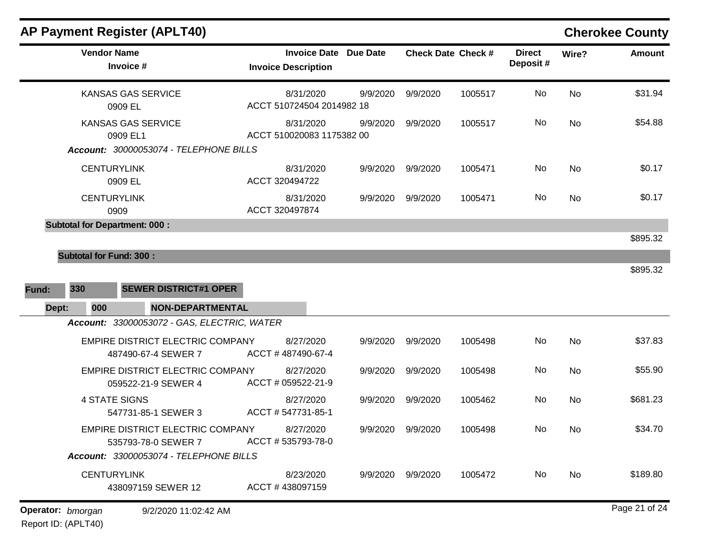| <b>Vendor Name</b><br>Invoice #                                | <b>Invoice Description</b>             | <b>Invoice Date Due Date</b> |          | <b>Check Date Check #</b> | <b>Direct</b><br>Deposit# | Wire?     | <b>Amount</b> |
|----------------------------------------------------------------|----------------------------------------|------------------------------|----------|---------------------------|---------------------------|-----------|---------------|
| KANSAS GAS SERVICE<br>0909 EL                                  | 8/31/2020<br>ACCT 510724504 2014982 18 | 9/9/2020                     | 9/9/2020 | 1005517                   | No                        | <b>No</b> | \$31.94       |
| <b>KANSAS GAS SERVICE</b><br>0909 EL1                          | 8/31/2020<br>ACCT 510020083 1175382 00 | 9/9/2020                     | 9/9/2020 | 1005517                   | No                        | <b>No</b> | \$54.88       |
| Account: 30000053074 - TELEPHONE BILLS                         |                                        |                              |          |                           |                           |           |               |
| <b>CENTURYLINK</b><br>0909 EL                                  | 8/31/2020<br>ACCT 320494722            | 9/9/2020                     | 9/9/2020 | 1005471                   | No                        | <b>No</b> | \$0.17        |
| <b>CENTURYLINK</b><br>0909                                     | 8/31/2020<br>ACCT 320497874            | 9/9/2020                     | 9/9/2020 | 1005471                   | No                        | <b>No</b> | \$0.17        |
| <b>Subtotal for Department: 000:</b>                           |                                        |                              |          |                           |                           |           |               |
|                                                                |                                        |                              |          |                           |                           |           | \$895.32      |
| <b>Subtotal for Fund: 300:</b>                                 |                                        |                              |          |                           |                           |           |               |
|                                                                |                                        |                              |          |                           |                           |           | \$895.32      |
| 330<br><b>SEWER DISTRICT#1 OPER</b><br>Fund:                   |                                        |                              |          |                           |                           |           |               |
| Dept:<br>000<br><b>NON-DEPARTMENTAL</b>                        |                                        |                              |          |                           |                           |           |               |
| Account: 33000053072 - GAS, ELECTRIC, WATER                    |                                        |                              |          |                           |                           |           |               |
| <b>EMPIRE DISTRICT ELECTRIC COMPANY</b><br>487490-67-4 SEWER 7 | 8/27/2020<br>ACCT #487490-67-4         | 9/9/2020                     | 9/9/2020 | 1005498                   | No                        | <b>No</b> | \$37.83       |
| EMPIRE DISTRICT ELECTRIC COMPANY<br>059522-21-9 SEWER 4        | 8/27/2020<br>ACCT # 059522-21-9        | 9/9/2020                     | 9/9/2020 | 1005498                   | No.                       | <b>No</b> | \$55.90       |
| <b>4 STATE SIGNS</b><br>547731-85-1 SEWER 3                    | 8/27/2020<br>ACCT #547731-85-1         | 9/9/2020                     | 9/9/2020 | 1005462                   | No                        | <b>No</b> | \$681.23      |
| EMPIRE DISTRICT ELECTRIC COMPANY<br>535793-78-0 SEWER 7        | 8/27/2020<br>ACCT #535793-78-0         | 9/9/2020                     | 9/9/2020 | 1005498                   | No                        | No        | \$34.70       |
| Account: 33000053074 - TELEPHONE BILLS                         |                                        |                              |          |                           |                           |           |               |
| <b>CENTURYLINK</b><br>438097159 SEWER 12                       | 8/23/2020<br>ACCT #438097159           | 9/9/2020                     | 9/9/2020 | 1005472                   | No                        | <b>No</b> | \$189.80      |
| Operator: bmorgan<br>9/2/2020 11:02:42 AM                      |                                        |                              |          |                           |                           |           | Page 21 of 24 |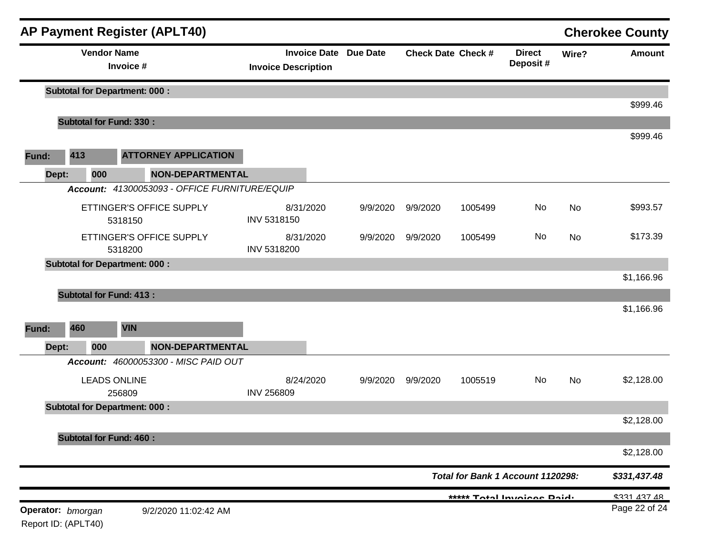|                                          |       |                     | <b>AP Payment Register (APLT40)</b>                      |                                                            |          |          |                           |                                   |       | <b>Cherokee County</b> |
|------------------------------------------|-------|---------------------|----------------------------------------------------------|------------------------------------------------------------|----------|----------|---------------------------|-----------------------------------|-------|------------------------|
|                                          |       | <b>Vendor Name</b>  | Invoice #                                                | <b>Invoice Date Due Date</b><br><b>Invoice Description</b> |          |          | <b>Check Date Check #</b> | <b>Direct</b><br>Deposit#         | Wire? | <b>Amount</b>          |
|                                          |       |                     | <b>Subtotal for Department: 000:</b>                     |                                                            |          |          |                           |                                   |       | \$999.46               |
|                                          |       |                     | <b>Subtotal for Fund: 330:</b>                           |                                                            |          |          |                           |                                   |       |                        |
| Fund:                                    | 413   |                     | <b>ATTORNEY APPLICATION</b>                              |                                                            |          |          |                           |                                   |       | \$999.46               |
|                                          | Dept: | 000                 | NON-DEPARTMENTAL                                         |                                                            |          |          |                           |                                   |       |                        |
|                                          |       |                     | Account: 41300053093 - OFFICE FURNITURE/EQUIP            |                                                            |          |          |                           |                                   |       |                        |
|                                          |       |                     | ETTINGER'S OFFICE SUPPLY<br>5318150                      | 8/31/2020<br>INV 5318150                                   | 9/9/2020 | 9/9/2020 | 1005499                   | No                                | No    | \$993.57               |
|                                          |       |                     | ETTINGER'S OFFICE SUPPLY<br>5318200                      | 8/31/2020<br>INV 5318200                                   | 9/9/2020 | 9/9/2020 | 1005499                   | No                                | No    | \$173.39               |
|                                          |       |                     | <b>Subtotal for Department: 000:</b>                     |                                                            |          |          |                           |                                   |       |                        |
|                                          |       |                     |                                                          |                                                            |          |          |                           |                                   |       | \$1,166.96             |
|                                          |       |                     | <b>Subtotal for Fund: 413:</b>                           |                                                            |          |          |                           |                                   |       | \$1,166.96             |
| Fund:                                    | 460   |                     | <b>VIN</b>                                               |                                                            |          |          |                           |                                   |       |                        |
|                                          |       |                     |                                                          |                                                            |          |          |                           |                                   |       |                        |
|                                          | Dept: | 000                 | NON-DEPARTMENTAL<br>Account: 46000053300 - MISC PAID OUT |                                                            |          |          |                           |                                   |       |                        |
|                                          |       | <b>LEADS ONLINE</b> | 256809                                                   | 8/24/2020<br><b>INV 256809</b>                             | 9/9/2020 | 9/9/2020 | 1005519                   | No                                | No    | \$2,128.00             |
|                                          |       |                     | <b>Subtotal for Department: 000:</b>                     |                                                            |          |          |                           |                                   |       |                        |
|                                          |       |                     |                                                          |                                                            |          |          |                           |                                   |       | \$2,128.00             |
|                                          |       |                     | <b>Subtotal for Fund: 460:</b>                           |                                                            |          |          |                           |                                   |       | \$2,128.00             |
|                                          |       |                     |                                                          |                                                            |          |          |                           | Total for Bank 1 Account 1120298: |       | \$331,437.48           |
|                                          |       |                     |                                                          |                                                            |          |          |                           | ***** Total Invoices Daid.        |       | <b>\$331 437 48</b>    |
| Operator: bmorgan<br>Report ID: (APLT40) |       |                     | 9/2/2020 11:02:42 AM                                     |                                                            |          |          |                           |                                   |       | Page 22 of 24          |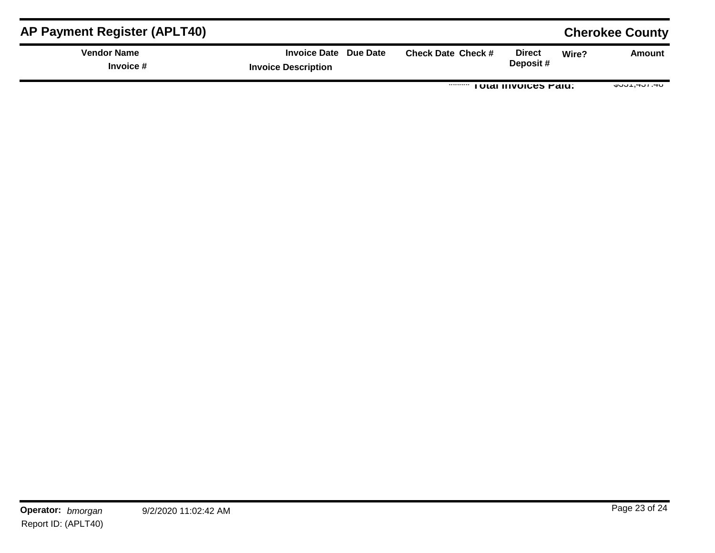| <b>AP Payment Register (APLT40)</b> |                                                     |                           |                              |       | <b>Cherokee County</b> |
|-------------------------------------|-----------------------------------------------------|---------------------------|------------------------------|-------|------------------------|
| <b>Vendor Name</b><br>Invoice #     | Invoice Date Due Date<br><b>Invoice Description</b> | <b>Check Date Check #</b> | <b>Direct</b><br>Deposit#    | Wire? | Amount                 |
|                                     |                                                     |                           | <b>TOTAL INVOICES FAILE.</b> |       | $U-T$ , $IUT$ , $I-U$  |